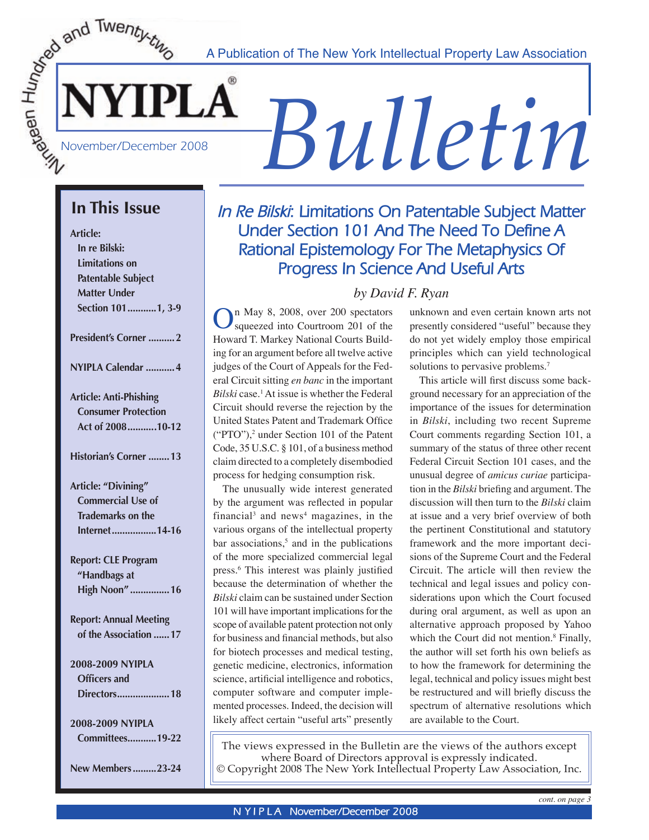A Publication of The New York Intellectual Property Law Association

# *A Publication of The New York Intellectual Property Law Association*<br> **Bullet in Property Law Association**<br> **Bulletin**

## **In This Issue**

**Article:** 

 **In re Bilski: Limitations on Patentable Subject Matter Under Section 101 ...........1, 3-9**

**President's Corner ..........2**

**NYIPLA Calendar ...........4**

**Article: Anti-Phishing Consumer Protection Act of 2008 ...........10-12**

**Historian's Corner ........13**

**Article: "Divining" Commercial Use of Trademarks on the Internet .................14-16**

**Report: CLE Program "Handbags at High Noon" ...............16**

**Report: Annual Meeting of the Association ......17**

**2008-2009 NYIPLA Officers and Directors ....................18**

**2008-2009 NYIPLA Committees ...........19-22**

**New Members .........23-24**

## *In Re Bilski***: Limitations On Patentable Subject Matter Under Section 101 And The Need To Define A Rational Epistemology For The Metaphysics Of Progress In Science And Useful Arts**

## *by David F. Ryan*

 $\sum_{\text{sup1} \in \mathbb{Z}}$  Squeezed into Courtroom 201 of the Howard T. Markey National Courts Building for an argument before all twelve active judges of the Court of Appeals for the Federal Circuit sitting *en banc* in the important Bilski case.<sup>1</sup> At issue is whether the Federal Circuit should reverse the rejection by the United States Patent and Trademark Office  $("PTO"),$ <sup>2</sup> under Section 101 of the Patent Code, 35 U.S.C. § 101, of a business method claim directed to a completely disembodied process for hedging consumption risk.

The unusually wide interest generated by the argument was reflected in popular financial<sup>3</sup> and news<sup>4</sup> magazines, in the various organs of the intellectual property bar associations,<sup>5</sup> and in the publications of the more specialized commercial legal press.6 This interest was plainly justified because the determination of whether the *Bilski* claim can be sustained under Section 101 will have important implications for the scope of available patent protection not only for business and financial methods, but also for biotech processes and medical testing, genetic medicine, electronics, information science, artificial intelligence and robotics, computer software and computer implemented processes. Indeed, the decision will likely affect certain "useful arts" presently

unknown and even certain known arts not presently considered "useful" because they do not yet widely employ those empirical principles which can yield technological solutions to pervasive problems.<sup>7</sup>

 This article will first discuss some background necessary for an appreciation of the importance of the issues for determination in *Bilski*, including two recent Supreme Court comments regarding Section 101, a summary of the status of three other recent Federal Circuit Section 101 cases, and the unusual degree of *amicus curiae* participation in the *Bilski* briefing and argument. The discussion will then turn to the *Bilski* claim at issue and a very brief overview of both the pertinent Constitutional and statutory framework and the more important decisions of the Supreme Court and the Federal Circuit. The article will then review the technical and legal issues and policy considerations upon which the Court focused during oral argument, as well as upon an alternative approach proposed by Yahoo which the Court did not mention.<sup>8</sup> Finally, the author will set forth his own beliefs as to how the framework for determining the legal, technical and policy issues might best be restructured and will briefly discuss the spectrum of alternative resolutions which are available to the Court.

The views expressed in the Bulletin are the views of the authors except where Board of Directors approval is expressly indicated. © Copyright 2008 The New York Intellectual Property Law Association, Inc.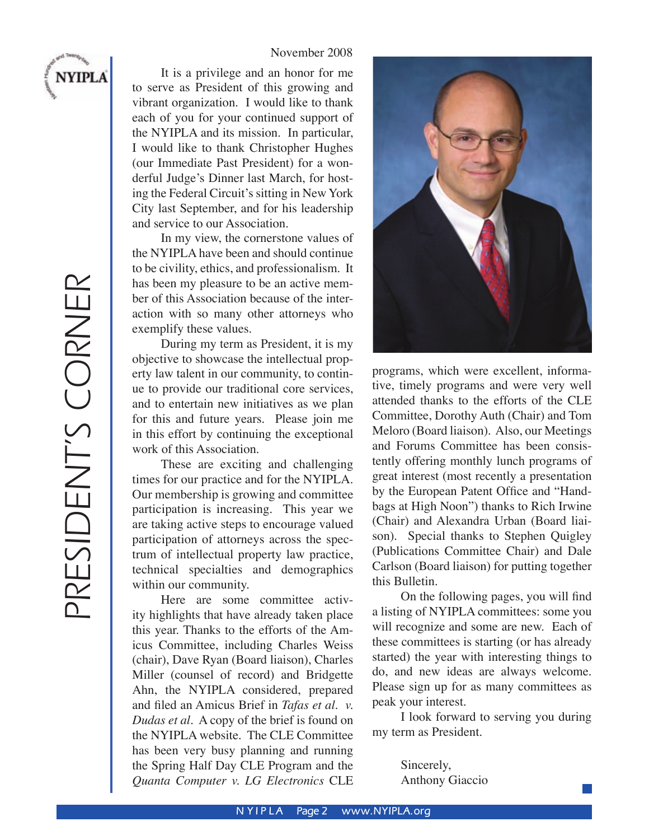#### November 2008

It is a privilege and an honor for me to serve as President of this growing and vibrant organization. I would like to thank each of you for your continued support of the NYIPLA and its mission. In particular, I would like to thank Christopher Hughes (our Immediate Past President) for a wonderful Judge's Dinner last March, for hosting the Federal Circuit's sitting in New York City last September, and for his leadership and service to our Association.

In my view, the cornerstone values of the NYIPLA have been and should continue to be civility, ethics, and professionalism. It has been my pleasure to be an active member of this Association because of the interaction with so many other attorneys who exemplify these values.

During my term as President, it is my objective to showcase the intellectual property law talent in our community, to continue to provide our traditional core services, and to entertain new initiatives as we plan for this and future years. Please join me in this effort by continuing the exceptional work of this Association.

These are exciting and challenging times for our practice and for the NYIPLA. Our membership is growing and committee participation is increasing. This year we are taking active steps to encourage valued participation of attorneys across the spectrum of intellectual property law practice, technical specialties and demographics within our community.

Here are some committee activity highlights that have already taken place this year. Thanks to the efforts of the Amicus Committee, including Charles Weiss (chair), Dave Ryan (Board liaison), Charles Miller (counsel of record) and Bridgette Ahn, the NYIPLA considered, prepared and filed an Amicus Brief in *Tafas et al. v. Dudas et al.* A copy of the brief is found on the NYIPLA website. The CLE Committee has been very busy planning and running the Spring Half Day CLE Program and the *Quanta Computer v. LG Electronics* CLE



programs, which were excellent, informative, timely programs and were very well attended thanks to the efforts of the CLE Committee, Dorothy Auth (Chair) and Tom Meloro (Board liaison). Also, our Meetings and Forums Committee has been consistently offering monthly lunch programs of great interest (most recently a presentation by the European Patent Office and "Handbags at High Noon") thanks to Rich Irwine (Chair) and Alexandra Urban (Board liaison). Special thanks to Stephen Quigley (Publications Committee Chair) and Dale Carlson (Board liaison) for putting together this Bulletin.

On the following pages, you will find a listing of NYIPLA committees: some you will recognize and some are new. Each of these committees is starting (or has already started) the year with interesting things to do, and new ideas are always welcome. Please sign up for as many committees as peak your interest.

I look forward to serving you during my term as President.

> Sincerely, Anthony Giaccio

**NYIPLA**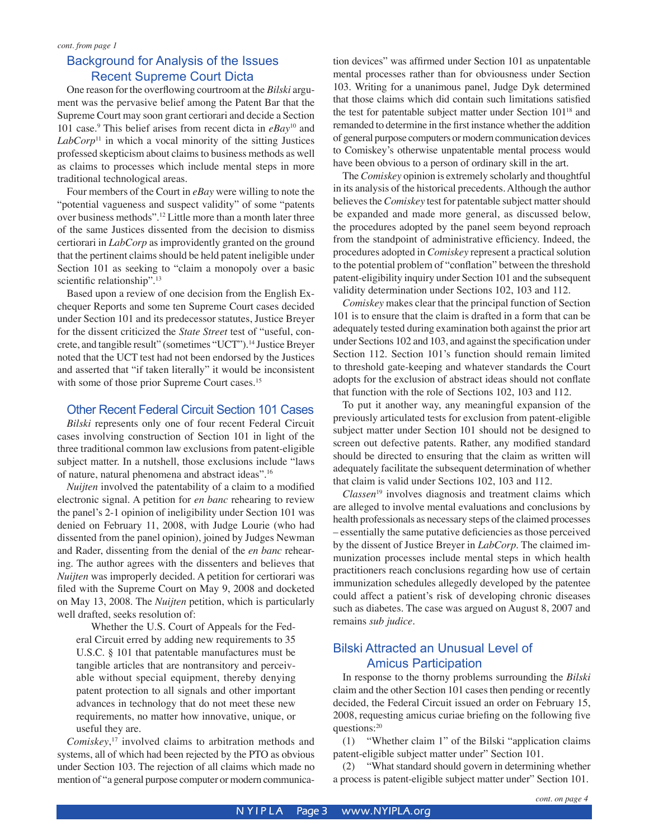#### Background for Analysis of the Issues Recent Supreme Court Dicta

 One reason for the overflowing courtroom at the *Bilski* argument was the pervasive belief among the Patent Bar that the Supreme Court may soon grant certiorari and decide a Section 101 case.9 This belief arises from recent dicta in *eBay*10 and *LabCorp*11 in which a vocal minority of the sitting Justices professed skepticism about claims to business methods as well as claims to processes which include mental steps in more traditional technological areas.

Four members of the Court in *eBay* were willing to note the "potential vagueness and suspect validity" of some "patents over business methods".12 Little more than a month later three of the same Justices dissented from the decision to dismiss certiorari in *LabCorp* as improvidently granted on the ground that the pertinent claims should be held patent ineligible under Section 101 as seeking to "claim a monopoly over a basic scientific relationship".<sup>13</sup>

 Based upon a review of one decision from the English Exchequer Reports and some ten Supreme Court cases decided under Section 101 and its predecessor statutes, Justice Breyer for the dissent criticized the *State Street* test of "useful, concrete, and tangible result" (sometimes "UCT").14 Justice Breyer noted that the UCT test had not been endorsed by the Justices and asserted that "if taken literally" it would be inconsistent with some of those prior Supreme Court cases.<sup>15</sup>

#### Other Recent Federal Circuit Section 101 Cases

*Bilski* represents only one of four recent Federal Circuit cases involving construction of Section 101 in light of the three traditional common law exclusions from patent-eligible subject matter. In a nutshell, those exclusions include "laws of nature, natural phenomena and abstract ideas".16

*Nuijten* involved the patentability of a claim to a modified electronic signal. A petition for *en banc* rehearing to review the panel's 2-1 opinion of ineligibility under Section 101 was denied on February 11, 2008, with Judge Lourie (who had dissented from the panel opinion), joined by Judges Newman and Rader, dissenting from the denial of the *en banc* rehearing. The author agrees with the dissenters and believes that *Nuijten* was improperly decided. A petition for certiorari was filed with the Supreme Court on May 9, 2008 and docketed on May 13, 2008. The *Nuijten* petition, which is particularly well drafted, seeks resolution of:

Whether the U.S. Court of Appeals for the Federal Circuit erred by adding new requirements to 35 U.S.C. § 101 that patentable manufactures must be tangible articles that are nontransitory and perceivable without special equipment, thereby denying patent protection to all signals and other important advances in technology that do not meet these new requirements, no matter how innovative, unique, or useful they are.

*Comiskey*, 17 involved claims to arbitration methods and systems, all of which had been rejected by the PTO as obvious under Section 103. The rejection of all claims which made no mention of "a general purpose computer or modern communication devices" was affirmed under Section 101 as unpatentable mental processes rather than for obviousness under Section 103. Writing for a unanimous panel, Judge Dyk determined that those claims which did contain such limitations satisfied the test for patentable subject matter under Section 10118 and remanded to determine in the first instance whether the addition of general purpose computers or modern communication devices to Comiskey's otherwise unpatentable mental process would have been obvious to a person of ordinary skill in the art.

 The *Comiskey* opinion is extremely scholarly and thoughtful in its analysis of the historical precedents. Although the author believes the *Comiskey* test for patentable subject matter should be expanded and made more general, as discussed below, the procedures adopted by the panel seem beyond reproach from the standpoint of administrative efficiency. Indeed, the procedures adopted in *Comiskey* represent a practical solution to the potential problem of "conflation" between the threshold patent-eligibility inquiry under Section 101 and the subsequent validity determination under Sections 102, 103 and 112.

*Comiskey* makes clear that the principal function of Section 101 is to ensure that the claim is drafted in a form that can be adequately tested during examination both against the prior art under Sections 102 and 103, and against the specification under Section 112. Section 101's function should remain limited to threshold gate-keeping and whatever standards the Court adopts for the exclusion of abstract ideas should not conflate that function with the role of Sections 102, 103 and 112.

 To put it another way, any meaningful expansion of the previously articulated tests for exclusion from patent-eligible subject matter under Section 101 should not be designed to screen out defective patents. Rather, any modified standard should be directed to ensuring that the claim as written will adequately facilitate the subsequent determination of whether that claim is valid under Sections 102, 103 and 112.

*Classen*19 involves diagnosis and treatment claims which are alleged to involve mental evaluations and conclusions by health professionals as necessary steps of the claimed processes – essentially the same putative deficiencies as those perceived by the dissent of Justice Breyer in *LabCorp*. The claimed immunization processes include mental steps in which health practitioners reach conclusions regarding how use of certain immunization schedules allegedly developed by the patentee could affect a patient's risk of developing chronic diseases such as diabetes. The case was argued on August 8, 2007 and remains *sub judice*.

#### Bilski Attracted an Unusual Level of Amicus Participation

 In response to the thorny problems surrounding the *Bilski* claim and the other Section 101 cases then pending or recently decided, the Federal Circuit issued an order on February 15, 2008, requesting amicus curiae briefing on the following five questions:20

 (1) "Whether claim 1" of the Bilski "application claims patent-eligible subject matter under" Section 101.

(2) "What standard should govern in determining whether a process is patent-eligible subject matter under" Section 101.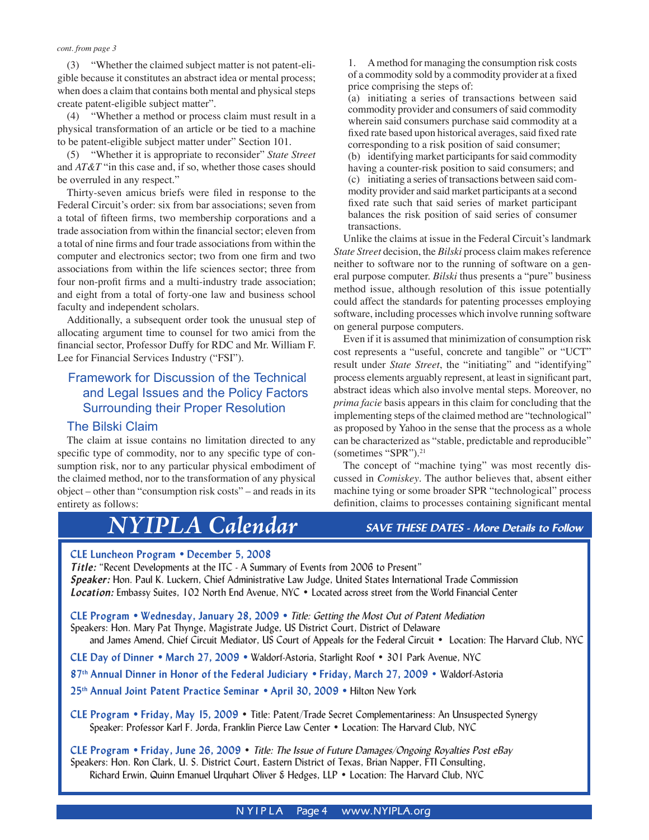(3) "Whether the claimed subject matter is not patent-eligible because it constitutes an abstract idea or mental process; when does a claim that contains both mental and physical steps create patent-eligible subject matter".

(4) "Whether a method or process claim must result in a physical transformation of an article or be tied to a machine to be patent-eligible subject matter under" Section 101.

(5) "Whether it is appropriate to reconsider" *State Street* and *AT&T* "in this case and, if so, whether those cases should be overruled in any respect."

Thirty-seven amicus briefs were filed in response to the Federal Circuit's order: six from bar associations; seven from a total of fifteen firms, two membership corporations and a trade association from within the financial sector; eleven from a total of nine firms and four trade associations from within the computer and electronics sector; two from one firm and two associations from within the life sciences sector; three from four non-profit firms and a multi-industry trade association; and eight from a total of forty-one law and business school faculty and independent scholars.

Additionally, a subsequent order took the unusual step of allocating argument time to counsel for two amici from the financial sector, Professor Duffy for RDC and Mr. William F. Lee for Financial Services Industry ("FSI").

#### Framework for Discussion of the Technical and Legal Issues and the Policy Factors Surrounding their Proper Resolution

#### The Bilski Claim

 The claim at issue contains no limitation directed to any specific type of commodity, nor to any specific type of consumption risk, nor to any particular physical embodiment of the claimed method, nor to the transformation of any physical object – other than "consumption risk costs" – and reads in its entirety as follows:

## *NYIPLA Calendar*

1. A method for managing the consumption risk costs of a commodity sold by a commodity provider at a fixed price comprising the steps of:

(a) initiating a series of transactions between said commodity provider and consumers of said commodity wherein said consumers purchase said commodity at a fixed rate based upon historical averages, said fixed rate corresponding to a risk position of said consumer; (b) identifying market participants for said commodity having a counter-risk position to said consumers; and (c) initiating a series of transactions between said commodity provider and said market participants at a second fixed rate such that said series of market participant balances the risk position of said series of consumer transactions.

Unlike the claims at issue in the Federal Circuit's landmark *State Street* decision, the *Bilski* process claim makes reference neither to software nor to the running of software on a general purpose computer. *Bilski* thus presents a "pure" business method issue, although resolution of this issue potentially could affect the standards for patenting processes employing software, including processes which involve running software on general purpose computers.

Even if it is assumed that minimization of consumption risk cost represents a "useful, concrete and tangible" or "UCT" result under *State Street*, the "initiating" and "identifying" process elements arguably represent, at least in significant part, abstract ideas which also involve mental steps. Moreover, no *prima facie* basis appears in this claim for concluding that the implementing steps of the claimed method are "technological" as proposed by Yahoo in the sense that the process as a whole can be characterized as "stable, predictable and reproducible" (sometimes "SPR").21

 The concept of "machine tying" was most recently discussed in *Comiskey*. The author believes that, absent either machine tying or some broader SPR "technological" process definition, claims to processes containing significant mental

#### *SAVE THESE DATES - More Details to Follow*

#### **CLE Luncheon Program • December 5, 2008**

*Title:* "Recent Developments at the ITC - A Summary of Events from 2006 to Present" *Speaker:* Hon. Paul K. Luckern, Chief Administrative Law Judge, United States International Trade Commission *Location:* Embassy Suites, 102 North End Avenue, NYC • Located across street from the World Financial Center

**CLE Program • Wednesday, January 28, 2009 •** *Title: Getting the Most Out of Patent Mediation* Speakers: Hon. Mary Pat Thynge, Magistrate Judge, US District Court, District of Delaware

and James Amend, Chief Circuit Mediator, US Court of Appeals for the Federal Circuit • Location: The Harvard Club, NYC

**CLE Day of Dinner • March 27, 2009 •** Waldorf-Astoria, Starlight Roof • 301 Park Avenue, NYC

**87th Annual Dinner in Honor of the Federal Judiciary • Friday, March 27, 2009** • Waldorf-Astoria

**25th Annual Joint Patent Practice Seminar • April 30, 2009 •** Hilton New York

**CLE Program • Friday, May 15, 2009** • Title: Patent/Trade Secret Complementariness: An Unsuspected Synergy Speaker: Professor Karl F. Jorda, Franklin Pierce Law Center • Location: The Harvard Club, NYC

**CLE Program • Friday, June 26, 2009** • *Title: The Issue of Future Damages/Ongoing Royalties Post eBay* Speakers: Hon. Ron Clark, U. S. District Court, Eastern District of Texas, Brian Napper, FTI Consulting, Richard Erwin, Quinn Emanuel Urquhart Oliver & Hedges, LLP • Location: The Harvard Club, NYC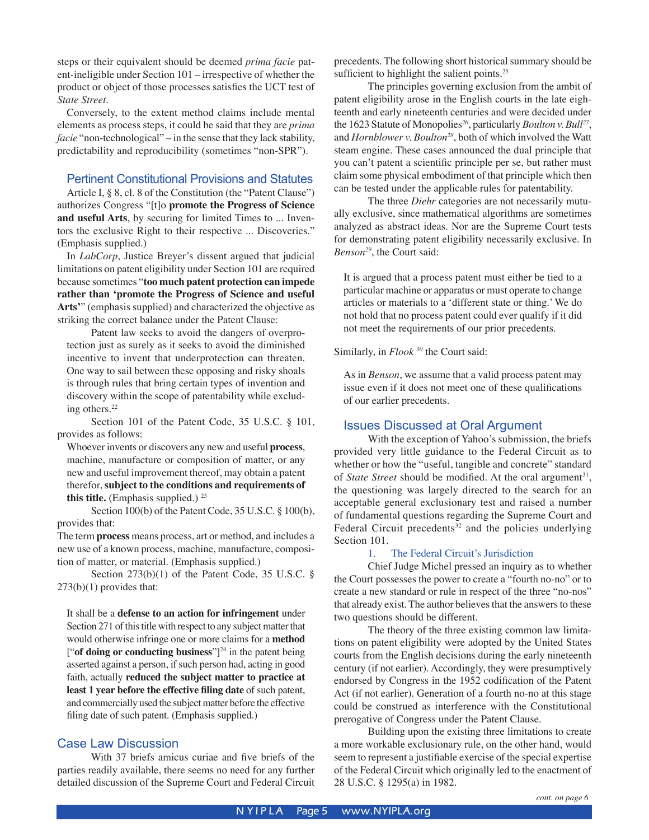steps or their equivalent should be deemed *prima facie* patent-ineligible under Section 101 – irrespective of whether the product or object of those processes satisfies the UCT test of *State Street*.

 Conversely, to the extent method claims include mental elements as process steps, it could be said that they are *prima facie* "non-technological" – in the sense that they lack stability, predictability and reproducibility (sometimes "non-SPR").

#### Pertinent Constitutional Provisions and Statutes

 Article I, § 8, cl. 8 of the Constitution (the "Patent Clause") authorizes Congress "[t]o **promote the Progress of Science and useful Arts**, by securing for limited Times to ... Inventors the exclusive Right to their respective ... Discoveries." (Emphasis supplied.)

In *LabCorp*, Justice Breyer's dissent argued that judicial limitations on patent eligibility under Section 101 are required because sometimes "**too much patent protection can impede rather than ʻpromote the Progress of Science and useful Arts'**" (emphasis supplied) and characterized the objective as striking the correct balance under the Patent Clause:

Patent law seeks to avoid the dangers of overprotection just as surely as it seeks to avoid the diminished incentive to invent that underprotection can threaten. One way to sail between these opposing and risky shoals is through rules that bring certain types of invention and discovery within the scope of patentability while excluding others.22

Section 101 of the Patent Code, 35 U.S.C. § 101, provides as follows:

Whoever invents or discovers any new and useful **process**, machine, manufacture or composition of matter, or any new and useful improvement thereof, may obtain a patent therefor, **subject to the conditions and requirements of this title.** (Emphasis supplied.)  $23$ 

Section 100(b) of the Patent Code, 35 U.S.C. § 100(b), provides that:

The term **process** means process, art or method, and includes a new use of a known process, machine, manufacture, composition of matter, or material. (Emphasis supplied.)

Section 273(b)(1) of the Patent Code, 35 U.S.C. § 273(b)(1) provides that:

It shall be a **defense to an action for infringement** under Section 271 of this title with respect to any subject matter that would otherwise infringe one or more claims for a **method** ["**of doing or conducting business**"]24 in the patent being asserted against a person, if such person had, acting in good faith, actually **reduced the subject matter to practice at least 1 year before the effective filing date** of such patent, and commercially used the subject matter before the effective filing date of such patent. (Emphasis supplied.)

#### Case Law Discussion

 With 37 briefs amicus curiae and five briefs of the parties readily available, there seems no need for any further detailed discussion of the Supreme Court and Federal Circuit

precedents. The following short historical summary should be sufficient to highlight the salient points.<sup>25</sup>

 The principles governing exclusion from the ambit of patent eligibility arose in the English courts in the late eighteenth and early nineteenth centuries and were decided under the 1623 Statute of Monopolies<sup>26</sup>, particularly *Boulton v. Bull<sup>27</sup>*, and *Hornblower v. Boulton28*, both of which involved the Watt steam engine. These cases announced the dual principle that you can't patent a scientific principle per se, but rather must claim some physical embodiment of that principle which then can be tested under the applicable rules for patentability.

 The three *Diehr* categories are not necessarily mutually exclusive, since mathematical algorithms are sometimes analyzed as abstract ideas. Nor are the Supreme Court tests for demonstrating patent eligibility necessarily exclusive. In *Benson29*, the Court said:

It is argued that a process patent must either be tied to a particular machine or apparatus or must operate to change articles or materials to a ʻdifferent state or thing.' We do not hold that no process patent could ever qualify if it did not meet the requirements of our prior precedents.

#### Similarly, in *Flook*<sup>30</sup> the Court said:

As in *Benson*, we assume that a valid process patent may issue even if it does not meet one of these qualifications of our earlier precedents.

#### Issues Discussed at Oral Argument

 With the exception of Yahoo's submission, the briefs provided very little guidance to the Federal Circuit as to whether or how the "useful, tangible and concrete" standard of *State Street* should be modified. At the oral argument<sup>31</sup>, the questioning was largely directed to the search for an acceptable general exclusionary test and raised a number of fundamental questions regarding the Supreme Court and Federal Circuit precedents<sup>32</sup> and the policies underlying Section 101.

#### 1. The Federal Circuit's Jurisdiction

 Chief Judge Michel pressed an inquiry as to whether the Court possesses the power to create a "fourth no-no" or to create a new standard or rule in respect of the three "no-nos" that already exist. The author believes that the answers to these two questions should be different.

 The theory of the three existing common law limitations on patent eligibility were adopted by the United States courts from the English decisions during the early nineteenth century (if not earlier). Accordingly, they were presumptively endorsed by Congress in the 1952 codification of the Patent Act (if not earlier). Generation of a fourth no-no at this stage could be construed as interference with the Constitutional prerogative of Congress under the Patent Clause.

 Building upon the existing three limitations to create a more workable exclusionary rule, on the other hand, would seem to represent a justifiable exercise of the special expertise of the Federal Circuit which originally led to the enactment of 28 U.S.C. § 1295(a) in 1982.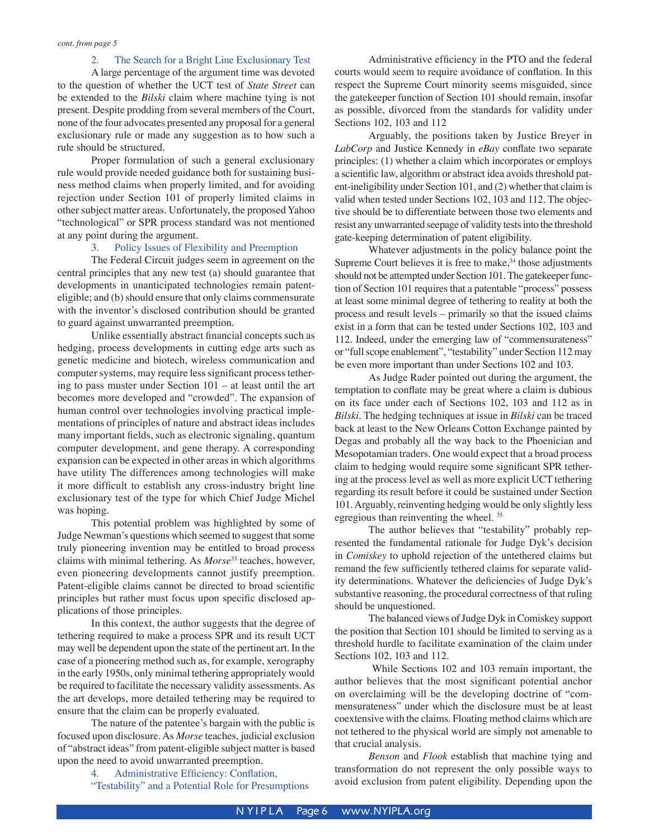#### 2. The Search for a Bright Line Exclusionary Test

 A large percentage of the argument time was devoted to the question of whether the UCT test of *State Street* can be extended to the *Bilski* claim where machine tying is not present. Despite prodding from several members of the Court, none of the four advocates presented any proposal for a general exclusionary rule or made any suggestion as to how such a rule should be structured.

 Proper formulation of such a general exclusionary rule would provide needed guidance both for sustaining business method claims when properly limited, and for avoiding rejection under Section 101 of properly limited claims in other subject matter areas. Unfortunately, the proposed Yahoo "technological" or SPR process standard was not mentioned at any point during the argument.

#### 3. Policy Issues of Flexibility and Preemption

 The Federal Circuit judges seem in agreement on the central principles that any new test (a) should guarantee that developments in unanticipated technologies remain patenteligible; and (b) should ensure that only claims commensurate with the inventor's disclosed contribution should be granted to guard against unwarranted preemption.

 Unlike essentially abstract financial concepts such as hedging, process developments in cutting edge arts such as genetic medicine and biotech, wireless communication and computer systems, may require less significant process tethering to pass muster under Section 101 – at least until the art becomes more developed and "crowded". The expansion of human control over technologies involving practical implementations of principles of nature and abstract ideas includes many important fields, such as electronic signaling, quantum computer development, and gene therapy. A corresponding expansion can be expected in other areas in which algorithms have utility The differences among technologies will make it more difficult to establish any cross-industry bright line exclusionary test of the type for which Chief Judge Michel was hoping.

 This potential problem was highlighted by some of Judge Newman's questions which seemed to suggest that some truly pioneering invention may be entitled to broad process claims with minimal tethering. As *Morse*33 teaches, however, even pioneering developments cannot justify preemption. Patent-eligible claims cannot be directed to broad scientific principles but rather must focus upon specific disclosed applications of those principles.

 In this context, the author suggests that the degree of tethering required to make a process SPR and its result UCT may well be dependent upon the state of the pertinent art. In the case of a pioneering method such as, for example, xerography in the early 1950s, only minimal tethering appropriately would be required to facilitate the necessary validity assessments. As the art develops, more detailed tethering may be required to ensure that the claim can be properly evaluated.

 The nature of the patentee's bargain with the public is focused upon disclosure. As *Morse* teaches, judicial exclusion of "abstract ideas" from patent-eligible subject matter is based upon the need to avoid unwarranted preemption.

> 4. Administrative Efficiency: Conflation, "Testability" and a Potential Role for Presumptions

 Administrative efficiency in the PTO and the federal courts would seem to require avoidance of conflation. In this respect the Supreme Court minority seems misguided, since the gatekeeper function of Section 101 should remain, insofar as possible, divorced from the standards for validity under Sections 102, 103 and 112

 Arguably, the positions taken by Justice Breyer in *LabCorp* and Justice Kennedy in *eBay* conflate two separate principles: (1) whether a claim which incorporates or employs a scientific law, algorithm or abstract idea avoids threshold patent-ineligibility under Section 101, and (2) whether that claim is valid when tested under Sections 102, 103 and 112. The objective should be to differentiate between those two elements and resist any unwarranted seepage of validity tests into the threshold gate-keeping determination of patent eligibility.

 Whatever adjustments in the policy balance point the Supreme Court believes it is free to make,<sup>34</sup> those adjustments should not be attempted under Section 101. The gatekeeper function of Section 101 requires that a patentable "process" possess at least some minimal degree of tethering to reality at both the process and result levels – primarily so that the issued claims exist in a form that can be tested under Sections 102, 103 and 112. Indeed, under the emerging law of "commensurateness" or "full scope enablement", "testability" under Section 112 may be even more important than under Sections 102 and 103.

 As Judge Rader pointed out during the argument, the temptation to conflate may be great where a claim is dubious on its face under each of Sections 102, 103 and 112 as in *Bilski*. The hedging techniques at issue in *Bilski* can be traced back at least to the New Orleans Cotton Exchange painted by Degas and probably all the way back to the Phoenician and Mesopotamian traders. One would expect that a broad process claim to hedging would require some significant SPR tethering at the process level as well as more explicit UCT tethering regarding its result before it could be sustained under Section 101. Arguably, reinventing hedging would be only slightly less egregious than reinventing the wheel. 35

 The author believes that "testability" probably represented the fundamental rationale for Judge Dyk's decision in *Comiskey* to uphold rejection of the untethered claims but remand the few sufficiently tethered claims for separate validity determinations. Whatever the deficiencies of Judge Dyk's substantive reasoning, the procedural correctness of that ruling should be unquestioned.

 The balanced views of Judge Dyk in Comiskey support the position that Section 101 should be limited to serving as a threshold hurdle to facilitate examination of the claim under Sections 102, 103 and 112.

 While Sections 102 and 103 remain important, the author believes that the most significant potential anchor on overclaiming will be the developing doctrine of "commensurateness" under which the disclosure must be at least coextensive with the claims. Floating method claims which are not tethered to the physical world are simply not amenable to that crucial analysis.

*Benson* and *Flook* establish that machine tying and transformation do not represent the only possible ways to avoid exclusion from patent eligibility. Depending upon the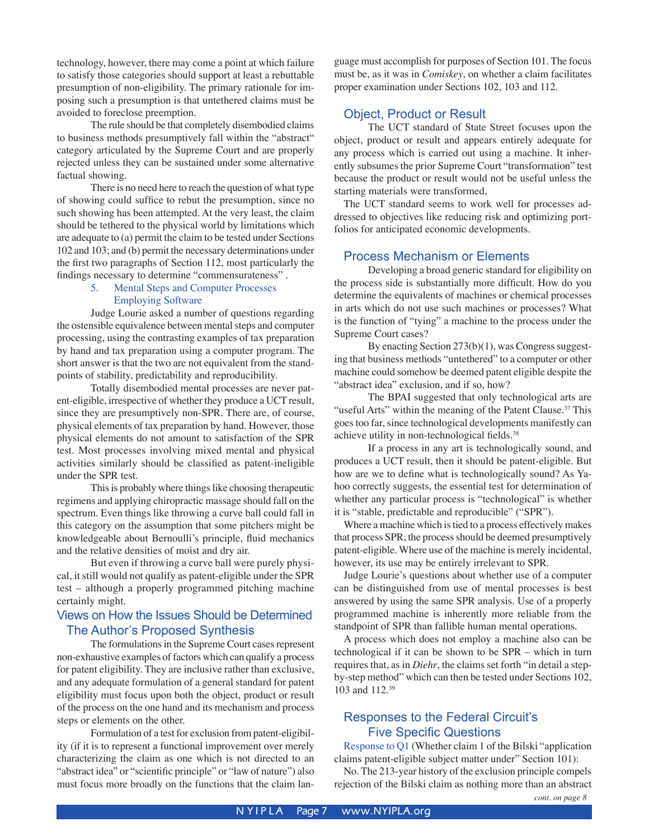technology, however, there may come a point at which failure to satisfy those categories should support at least a rebuttable presumption of non-eligibility. The primary rationale for imposing such a presumption is that untethered claims must be avoided to foreclose preemption.

 The rule should be that completely disembodied claims to business methods presumptively fall within the "abstract" category articulated by the Supreme Court and are properly rejected unless they can be sustained under some alternative factual showing.

 There is no need here to reach the question of what type of showing could suffice to rebut the presumption, since no such showing has been attempted. At the very least, the claim should be tethered to the physical world by limitations which are adequate to (a) permit the claim to be tested under Sections 102 and 103; and (b) permit the necessary determinations under the first two paragraphs of Section 112, most particularly the findings necessary to determine "commensurateness" .

#### 5. Mental Steps and Computer Processes Employing Software

 Judge Lourie asked a number of questions regarding the ostensible equivalence between mental steps and computer processing, using the contrasting examples of tax preparation by hand and tax preparation using a computer program. The short answer is that the two are not equivalent from the standpoints of stability, predictability and reproducibility.

 Totally disembodied mental processes are never patent-eligible, irrespective of whether they produce a UCT result, since they are presumptively non-SPR. There are, of course, physical elements of tax preparation by hand. However, those physical elements do not amount to satisfaction of the SPR test. Most processes involving mixed mental and physical activities similarly should be classified as patent-ineligible under the SPR test.

 This is probably where things like choosing therapeutic regimens and applying chiropractic massage should fall on the spectrum. Even things like throwing a curve ball could fall in this category on the assumption that some pitchers might be knowledgeable about Bernoulli's principle, fluid mechanics and the relative densities of moist and dry air.

 But even if throwing a curve ball were purely physical, it still would not qualify as patent-eligible under the SPR test – although a properly programmed pitching machine certainly might.

#### Views on How the Issues Should be Determined The Author's Proposed Synthesis

 The formulations in the Supreme Court cases represent non-exhaustive examples of factors which can qualify a process for patent eligibility. They are inclusive rather than exclusive, and any adequate formulation of a general standard for patent eligibility must focus upon both the object, product or result of the process on the one hand and its mechanism and process steps or elements on the other.

 Formulation of a test for exclusion from patent-eligibility (if it is to represent a functional improvement over merely characterizing the claim as one which is not directed to an "abstract idea" or "scientific principle" or "law of nature") also must focus more broadly on the functions that the claim language must accomplish for purposes of Section 101. The focus must be, as it was in *Comiskey*, on whether a claim facilitates proper examination under Sections 102, 103 and 112.

#### Object, Product or Result

 The UCT standard of State Street focuses upon the object, product or result and appears entirely adequate for any process which is carried out using a machine. It inherently subsumes the prior Supreme Court "transformation" test because the product or result would not be useful unless the starting materials were transformed,

The UCT standard seems to work well for processes addressed to objectives like reducing risk and optimizing portfolios for anticipated economic developments.

#### Process Mechanism or Elements

 Developing a broad generic standard for eligibility on the process side is substantially more difficult. How do you determine the equivalents of machines or chemical processes in arts which do not use such machines or processes? What is the function of "tying" a machine to the process under the Supreme Court cases?

 By enacting Section 273(b)(1), was Congress suggesting that business methods "untethered" to a computer or other machine could somehow be deemed patent eligible despite the "abstract idea" exclusion, and if so, how?

 The BPAI suggested that only technological arts are "useful Arts" within the meaning of the Patent Clause.<sup>37</sup> This goes too far, since technological developments manifestly can achieve utility in non-technological fields.38

 If a process in any art is technologically sound, and produces a UCT result, then it should be patent-eligible. But how are we to define what is technologically sound? As Yahoo correctly suggests, the essential test for determination of whether any particular process is "technological" is whether it is "stable, predictable and reproducible" ("SPR").

 Where a machine which is tied to a process effectively makes that process SPR, the process should be deemed presumptively patent-eligible. Where use of the machine is merely incidental, however, its use may be entirely irrelevant to SPR.

 Judge Lourie's questions about whether use of a computer can be distinguished from use of mental processes is best answered by using the same SPR analysis. Use of a properly programmed machine is inherently more reliable from the standpoint of SPR than fallible human mental operations.

A process which does not employ a machine also can be technological if it can be shown to be SPR – which in turn requires that, as in *Diehr*, the claims set forth "in detail a stepby-step method" which can then be tested under Sections 102, 103 and 112.39

#### Responses to the Federal Circuit's Five Specific Questions

Response to Q1 (Whether claim 1 of the Bilski "application claims patent-eligible subject matter under" Section 101):

No. The 213-year history of the exclusion principle compels rejection of the Bilski claim as nothing more than an abstract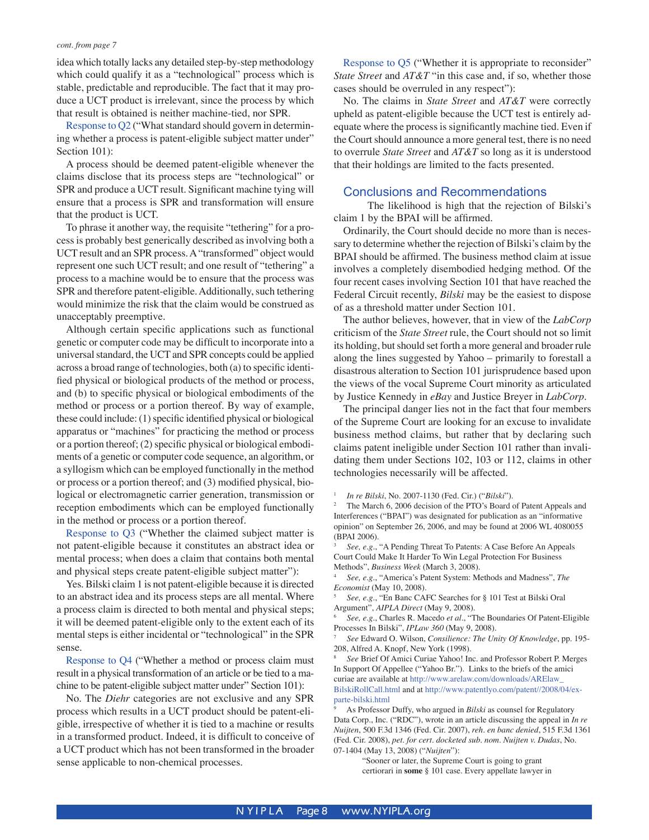idea which totally lacks any detailed step-by-step methodology which could qualify it as a "technological" process which is stable, predictable and reproducible. The fact that it may produce a UCT product is irrelevant, since the process by which that result is obtained is neither machine-tied, nor SPR.

Response to Q2 ("What standard should govern in determining whether a process is patent-eligible subject matter under" Section 101):

A process should be deemed patent-eligible whenever the claims disclose that its process steps are "technological" or SPR and produce a UCT result. Significant machine tying will ensure that a process is SPR and transformation will ensure that the product is UCT.

 To phrase it another way, the requisite "tethering" for a process is probably best generically described as involving both a UCT result and an SPR process. A "transformed" object would represent one such UCT result; and one result of "tethering" a process to a machine would be to ensure that the process was SPR and therefore patent-eligible. Additionally, such tethering would minimize the risk that the claim would be construed as unacceptably preemptive.

 Although certain specific applications such as functional genetic or computer code may be difficult to incorporate into a universal standard, the UCT and SPR concepts could be applied across a broad range of technologies, both (a) to specific identified physical or biological products of the method or process, and (b) to specific physical or biological embodiments of the method or process or a portion thereof. By way of example, these could include: (1) specific identified physical or biological apparatus or "machines" for practicing the method or process or a portion thereof; (2) specific physical or biological embodiments of a genetic or computer code sequence, an algorithm, or a syllogism which can be employed functionally in the method or process or a portion thereof; and (3) modified physical, biological or electromagnetic carrier generation, transmission or reception embodiments which can be employed functionally in the method or process or a portion thereof.

Response to Q3 ("Whether the claimed subject matter is not patent-eligible because it constitutes an abstract idea or mental process; when does a claim that contains both mental and physical steps create patent-eligible subject matter"):

Yes. Bilski claim 1 is not patent-eligible because it is directed to an abstract idea and its process steps are all mental. Where a process claim is directed to both mental and physical steps; it will be deemed patent-eligible only to the extent each of its mental steps is either incidental or "technological" in the SPR sense.

Response to Q4 ("Whether a method or process claim must result in a physical transformation of an article or be tied to a machine to be patent-eligible subject matter under" Section 101):

 No. The *Diehr* categories are not exclusive and any SPR process which results in a UCT product should be patent-eligible, irrespective of whether it is tied to a machine or results in a transformed product. Indeed, it is difficult to conceive of a UCT product which has not been transformed in the broader sense applicable to non-chemical processes.

Response to Q5 ("Whether it is appropriate to reconsider" *State Street* and *AT&T* "in this case and, if so, whether those cases should be overruled in any respect"):

No. The claims in *State Street* and *AT&T* were correctly upheld as patent-eligible because the UCT test is entirely adequate where the process is significantly machine tied. Even if the Court should announce a more general test, there is no need to overrule *State Street* and *AT&T* so long as it is understood that their holdings are limited to the facts presented.

#### Conclusions and Recommendations

 The likelihood is high that the rejection of Bilski's claim 1 by the BPAI will be affirmed.

 Ordinarily, the Court should decide no more than is necessary to determine whether the rejection of Bilski's claim by the BPAI should be affirmed. The business method claim at issue involves a completely disembodied hedging method. Of the four recent cases involving Section 101 that have reached the Federal Circuit recently, *Bilski* may be the easiest to dispose of as a threshold matter under Section 101.

The author believes, however, that in view of the *LabCorp* criticism of the *State Street* rule, the Court should not so limit its holding, but should set forth a more general and broader rule along the lines suggested by Yahoo – primarily to forestall a disastrous alteration to Section 101 jurisprudence based upon the views of the vocal Supreme Court minority as articulated by Justice Kennedy in *eBay* and Justice Breyer in *LabCorp*.

The principal danger lies not in the fact that four members of the Supreme Court are looking for an excuse to invalidate business method claims, but rather that by declaring such claims patent ineligible under Section 101 rather than invalidating them under Sections 102, 103 or 112, claims in other technologies necessarily will be affected.

*In re Bilski*, No. 2007-1130 (Fed. Cir.) ("*Bilski*"). 2

 The March 6, 2006 decision of the PTO's Board of Patent Appeals and Interferences ("BPAI") was designated for publication as an "informative opinion" on September 26, 2006, and may be found at 2006 WL 4080055 (BPAI 2006).

3 *See, e.g.*, "A Pending Threat To Patents: A Case Before An Appeals Court Could Make It Harder To Win Legal Protection For Business Methods", *Business Week* (March 3, 2008).

 *See, e.g*., "America's Patent System: Methods and Madness", *The Economist* (May 10, 2008).

 *See, e.g*., "En Banc CAFC Searches for § 101 Test at Bilski Oral Argument", *AIPLA Direct* (May 9, 2008).

6 *See, e.g*., Charles R. Macedo *et al*., "The Boundaries Of Patent-Eligible Processes In Bilski", *IPLaw 360* (May 9, 2008).

7 *See* Edward O. Wilson, *Consilience: The Unity Of Knowledge*, pp. 195- 208, Alfred A. Knopf, New York (1998).

8 *See* Brief Of Amici Curiae Yahoo! Inc. and Professor Robert P. Merges In Support Of Appellee ("Yahoo Br."). Links to the briefs of the amici curiae are available at http://www.arelaw.com/downloads/ARElaw\_ BilskiRollCall.html and at http://www.patentlyo.com/patent//2008/04/exparte-bilski.html

9 As Professor Duffy, who argued in *Bilski* as counsel for Regulatory Data Corp., Inc. ("RDC"), wrote in an article discussing the appeal in *In re Nuijten*, 500 F.3d 1346 (Fed. Cir. 2007), *reh. en banc denied*, 515 F.3d 1361 (Fed. Cir. 2008), *pet. for cert. docketed sub. nom. Nuijten v. Dudas*, No. 07-1404 (May 13, 2008) ("*Nuijten*"):

"Sooner or later, the Supreme Court is going to grant certiorari in **some** § 101 case. Every appellate lawyer in

1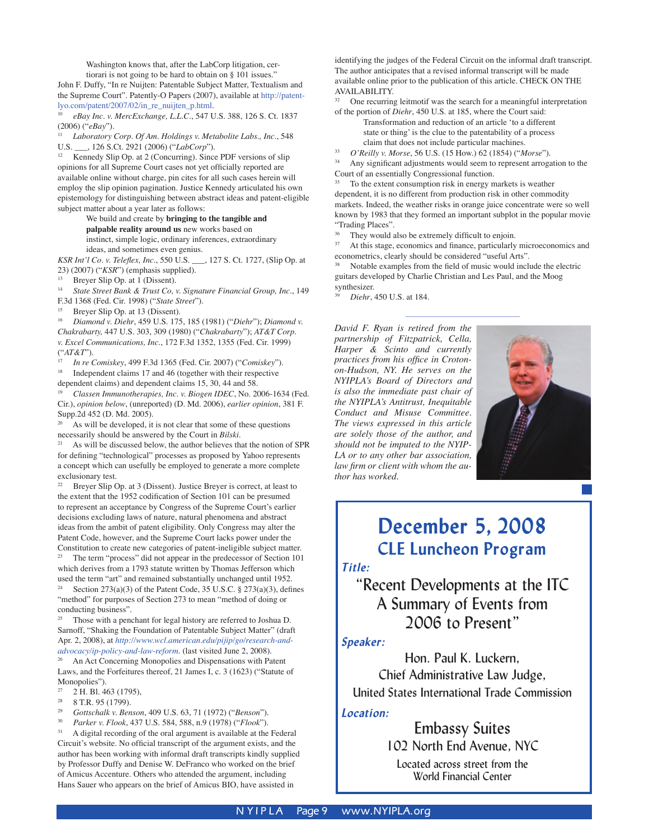Washington knows that, after the LabCorp litigation, cer-

tiorari is not going to be hard to obtain on § 101 issues." John F. Duffy, "In re Nuijten: Patentable Subject Matter, Textualism and the Supreme Court". Patently-O Papers (2007), available at http://patentlyo.com/patent/2007/02/in\_re\_nuijten\_p.html.

10 *eBay Inc. v. MercExchange, L.L.C*., 547 U.S. 388, 126 S. Ct. 1837 (2006) ("*eBay*").

11 *Laboratory Corp. Of Am. Holdings v. Metabolite Labs., Inc*., 548 U.S. \_\_\_, 126 S.Ct. 2921 (2006) ("*LabCorp*").

Kennedy Slip Op. at 2 (Concurring). Since PDF versions of slip opinions for all Supreme Court cases not yet officially reported are available online without charge, pin cites for all such cases herein will employ the slip opinion pagination. Justice Kennedy articulated his own epistemology for distinguishing between abstract ideas and patent-eligible subject matter about a year later as follows:

We build and create by **bringing to the tangible and palpable reality around us** new works based on instinct, simple logic, ordinary inferences, extraordinary ideas, and sometimes even genius.

*KSR Int'l Co. v. Teleflex, Inc*., 550 U.S. \_\_\_, 127 S. Ct. 1727, (Slip Op. at 23) (2007) ("*KSR*") (emphasis supplied).<br><sup>13</sup> Breyer Slip Op. at 1 (Dissent).<br><sup>14</sup> State Street Bank & Trust Co. y. Sign

14 *State Street Bank & Trust Co, v. Signature Financial Group, Inc*., 149 F.3d 1368 (Fed. Cir. 1998) ("*State Street*").

<sup>15</sup> Breyer Slip Op. at 13 (Dissent).<br> $\frac{16}{16}$  Dismanda Disku 450 U.S. 175

16 *Diamond v. Diehr*, 459 U.S. 175, 185 (1981) ("*Diehr*"); *Diamond v. Chakrabarty,* 447 U.S. 303, 309 (1980) ("*Chakrabarty*"); *AT&T Corp. v. Excel Communications, Inc*., 172 F.3d 1352, 1355 (Fed. Cir. 1999) ("*AT&T*"). 17 *In re Comiskey*, 499 F.3d 1365 (Fed. Cir. 2007) ("*Comiskey*"). 18 Independent claims 17 and 46 (together with their respective

dependent claims) and dependent claims 15, 30, 44 and 58.

19 *Classen Immunotherapies, Inc. v. Biogen IDEC*, No. 2006-1634 (Fed. Cir.), *opinion below*, (unreported) (D. Md. 2006), *earlier opinion*, 381 F. Supp.2d 452 (D. Md. 2005).

As will be developed, it is not clear that some of these questions necessarily should be answered by the Court in *Bilski*.

<sup>21</sup> As will be discussed below, the author believes that the notion of SPR for defining "technological" processes as proposed by Yahoo represents a concept which can usefully be employed to generate a more complete exclusionary test.

Breyer Slip Op. at 3 (Dissent). Justice Breyer is correct, at least to the extent that the 1952 codification of Section 101 can be presumed to represent an acceptance by Congress of the Supreme Court's earlier decisions excluding laws of nature, natural phenomena and abstract ideas from the ambit of patent eligibility. Only Congress may alter the Patent Code, however, and the Supreme Court lacks power under the Constitution to create new categories of patent-ineligible subject matter. 23 The term "process" did not appear in the predecessor of Section 101 which derives from a 1793 statute written by Thomas Jefferson which used the term "art" and remained substantially unchanged until 1952. Section  $273(a)(3)$  of the Patent Code, 35 U.S.C. §  $273(a)(3)$ , defines

"method" for purposes of Section 273 to mean "method of doing or conducting business".

Those with a penchant for legal history are referred to Joshua D. Sarnoff, "Shaking the Foundation of Patentable Subject Matter" (draft Apr. 2, 2008), at *http://www.wcl.american.edu/pijip/go/research-andadvocacy/ip-policy-and-law-reform*. (last visited June 2, 2008).

An Act Concerning Monopolies and Dispensations with Patent Laws, and the Forfeitures thereof, 21 James I, c. 3 (1623) ("Statute of Monopolies").

- <sup>27</sup> 2 H. Bl. 463 (1795),<br><sup>28</sup> 2 T. B 05 (1700)
- $\frac{28}{29}$  8 T.R. 95 (1799).
- 29 *Gottschalk v. Benson*, 409 U.S. 63, 71 (1972) ("*Benson*").
- 30 *Parker v. Flook*, 437 U.S. 584, 588, n.9 (1978) ("*Flook*").

A digital recording of the oral argument is available at the Federal Circuit's website. No official transcript of the argument exists, and the author has been working with informal draft transcripts kindly supplied by Professor Duffy and Denise W. DeFranco who worked on the brief of Amicus Accenture. Others who attended the argument, including Hans Sauer who appears on the brief of Amicus BIO, have assisted in

identifying the judges of the Federal Circuit on the informal draft transcript. The author anticipates that a revised informal transcript will be made available online prior to the publication of this article. CHECK ON THE AVAILABILITY.

<sup>32</sup> One recurring leitmotif was the search for a meaningful interpretation of the portion of *Diehr*, 450 U.S. at 185, where the Court said:

Transformation and reduction of an article ʻto a different state or thing' is the clue to the patentability of a process claim that does not include particular machines.

33 *O'Reilly v. Morse*, 56 U.S. (15 How.) 62 (1854) ("*Morse*").

Any significant adjustments would seem to represent arrogation to the Court of an essentially Congressional function.

To the extent consumption risk in energy markets is weather dependent, it is no different from production risk in other commodity markets. Indeed, the weather risks in orange juice concentrate were so well known by 1983 that they formed an important subplot in the popular movie "Trading Places".<br><sup>36</sup> They would also be extremely difficult to enjoin.<br><sup>37</sup> At this stage, aconomies and finance, perticularly

At this stage, economics and finance, particularly microeconomics and econometrics, clearly should be considered "useful Arts".

Notable examples from the field of music would include the electric guitars developed by Charlie Christian and Les Paul, and the Moog

Diehr, 450 U.S. at 184.

*David F. Ryan is retired from the partnership of Fitzpatrick, Cella, Harper & Scinto and currently practices from his office in Crotonon-Hudson, NY. He serves on the NYIPLA's Board of Directors and is also the immediate past chair of the NYIPLA's Antitrust, Inequitable Conduct and Misuse Committee. The views expressed in this article are solely those of the author, and should not be imputed to the NYIP-LA or to any other bar association, law firm or client with whom the author has worked.*



# **December 5, 2008 CLE Luncheon Program**

*Title:*

## "Recent Developments at the ITC A Summary of Events from 2006 to Present"

#### *Speaker:*

Hon. Paul K. Luckern, Chief Administrative Law Judge, United States International Trade Commission

#### *Location:*

Embassy Suites 102 North End Avenue, NYC Located across street from the World Financial Center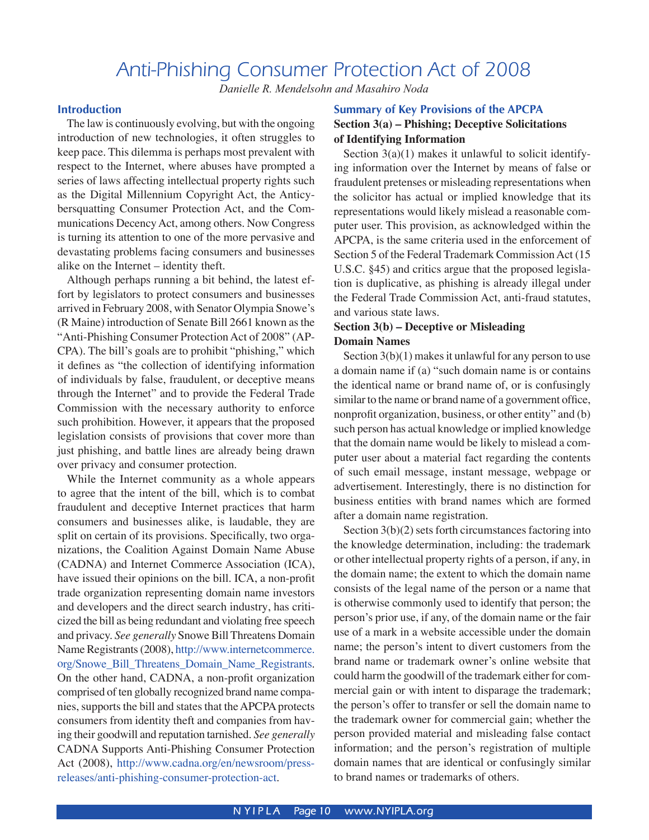## Anti-Phishing Consumer Protection Act of 2008

*Danielle R. Mendelsohn and Masahiro Noda*

#### **Introduction**

The law is continuously evolving, but with the ongoing introduction of new technologies, it often struggles to keep pace. This dilemma is perhaps most prevalent with respect to the Internet, where abuses have prompted a series of laws affecting intellectual property rights such as the Digital Millennium Copyright Act, the Anticybersquatting Consumer Protection Act, and the Communications Decency Act, among others. Now Congress is turning its attention to one of the more pervasive and devastating problems facing consumers and businesses alike on the Internet – identity theft.

Although perhaps running a bit behind, the latest effort by legislators to protect consumers and businesses arrived in February 2008, with Senator Olympia Snowe's (R Maine) introduction of Senate Bill 2661 known as the "Anti-Phishing Consumer Protection Act of 2008" (AP-CPA). The bill's goals are to prohibit "phishing," which it defines as "the collection of identifying information of individuals by false, fraudulent, or deceptive means through the Internet" and to provide the Federal Trade Commission with the necessary authority to enforce such prohibition. However, it appears that the proposed legislation consists of provisions that cover more than just phishing, and battle lines are already being drawn over privacy and consumer protection.

While the Internet community as a whole appears to agree that the intent of the bill, which is to combat fraudulent and deceptive Internet practices that harm consumers and businesses alike, is laudable, they are split on certain of its provisions. Specifically, two organizations, the Coalition Against Domain Name Abuse (CADNA) and Internet Commerce Association (ICA), have issued their opinions on the bill. ICA, a non-profit trade organization representing domain name investors and developers and the direct search industry, has criticized the bill as being redundant and violating free speech and privacy. *See generally* Snowe Bill Threatens Domain Name Registrants (2008), http://www.internetcommerce. org/Snowe\_Bill\_Threatens\_Domain\_Name\_Registrants. On the other hand, CADNA, a non-profit organization comprised of ten globally recognized brand name companies, supports the bill and states that the APCPA protects consumers from identity theft and companies from having their goodwill and reputation tarnished. *See generally* CADNA Supports Anti-Phishing Consumer Protection Act (2008), http://www.cadna.org/en/newsroom/pressreleases/anti-phishing-consumer-protection-act.

#### **Summary of Key Provisions of the APCPA Section 3(a) – Phishing; Deceptive Solicitations of Identifying Information**

Section  $3(a)(1)$  makes it unlawful to solicit identifying information over the Internet by means of false or fraudulent pretenses or misleading representations when the solicitor has actual or implied knowledge that its representations would likely mislead a reasonable computer user. This provision, as acknowledged within the APCPA, is the same criteria used in the enforcement of Section 5 of the Federal Trademark Commission Act (15 U.S.C. §45) and critics argue that the proposed legislation is duplicative, as phishing is already illegal under the Federal Trade Commission Act, anti-fraud statutes, and various state laws.

#### **Section 3(b) – Deceptive or Misleading Domain Names**

Section  $3(b)(1)$  makes it unlawful for any person to use a domain name if (a) "such domain name is or contains the identical name or brand name of, or is confusingly similar to the name or brand name of a government office, nonprofit organization, business, or other entity" and (b) such person has actual knowledge or implied knowledge that the domain name would be likely to mislead a computer user about a material fact regarding the contents of such email message, instant message, webpage or advertisement. Interestingly, there is no distinction for business entities with brand names which are formed after a domain name registration.

Section 3(b)(2) sets forth circumstances factoring into the knowledge determination, including: the trademark or other intellectual property rights of a person, if any, in the domain name; the extent to which the domain name consists of the legal name of the person or a name that is otherwise commonly used to identify that person; the person's prior use, if any, of the domain name or the fair use of a mark in a website accessible under the domain name; the person's intent to divert customers from the brand name or trademark owner's online website that could harm the goodwill of the trademark either for commercial gain or with intent to disparage the trademark; the person's offer to transfer or sell the domain name to the trademark owner for commercial gain; whether the person provided material and misleading false contact information; and the person's registration of multiple domain names that are identical or confusingly similar to brand names or trademarks of others.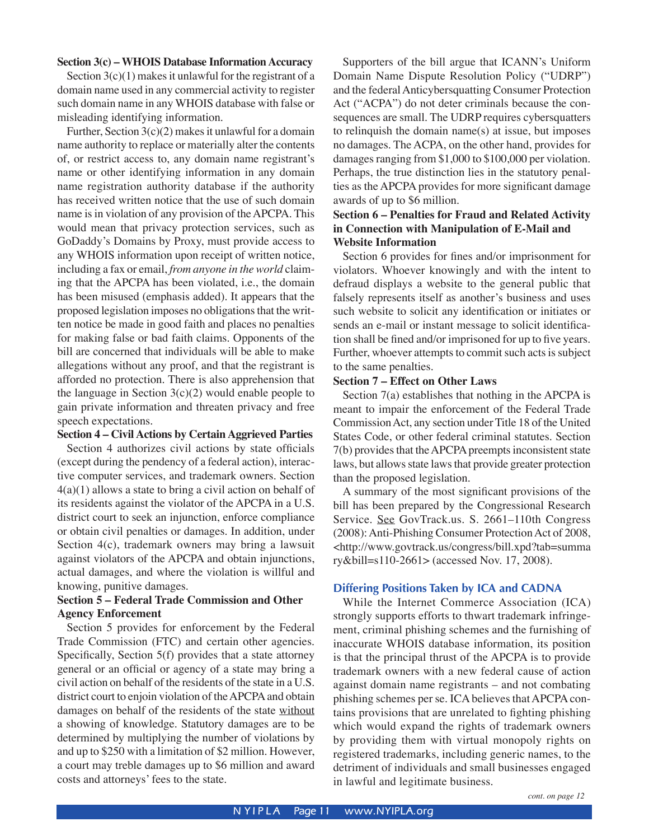#### **Section 3(c) – WHOIS Database Information Accuracy**

Section  $3(c)(1)$  makes it unlawful for the registrant of a domain name used in any commercial activity to register such domain name in any WHOIS database with false or misleading identifying information.

Further, Section  $3(c)(2)$  makes it unlawful for a domain name authority to replace or materially alter the contents of, or restrict access to, any domain name registrant's name or other identifying information in any domain name registration authority database if the authority has received written notice that the use of such domain name is in violation of any provision of the APCPA. This would mean that privacy protection services, such as GoDaddy's Domains by Proxy, must provide access to any WHOIS information upon receipt of written notice, including a fax or email, *from anyone in the world* claiming that the APCPA has been violated, i.e., the domain has been misused (emphasis added). It appears that the proposed legislation imposes no obligations that the written notice be made in good faith and places no penalties for making false or bad faith claims. Opponents of the bill are concerned that individuals will be able to make allegations without any proof, and that the registrant is afforded no protection. There is also apprehension that the language in Section  $3(c)(2)$  would enable people to gain private information and threaten privacy and free speech expectations.

#### **Section 4 – Civil Actions by Certain Aggrieved Parties**

Section 4 authorizes civil actions by state officials (except during the pendency of a federal action), interactive computer services, and trademark owners. Section 4(a)(1) allows a state to bring a civil action on behalf of its residents against the violator of the APCPA in a U.S. district court to seek an injunction, enforce compliance or obtain civil penalties or damages. In addition, under Section 4(c), trademark owners may bring a lawsuit against violators of the APCPA and obtain injunctions, actual damages, and where the violation is willful and knowing, punitive damages.

#### **Section 5 – Federal Trade Commission and Other Agency Enforcement**

Section 5 provides for enforcement by the Federal Trade Commission (FTC) and certain other agencies. Specifically, Section 5(f) provides that a state attorney general or an official or agency of a state may bring a civil action on behalf of the residents of the state in a U.S. district court to enjoin violation of the APCPA and obtain damages on behalf of the residents of the state without a showing of knowledge. Statutory damages are to be determined by multiplying the number of violations by and up to \$250 with a limitation of \$2 million. However, a court may treble damages up to \$6 million and award costs and attorneys' fees to the state.

Supporters of the bill argue that ICANN's Uniform Domain Name Dispute Resolution Policy ("UDRP") and the federal Anticybersquatting Consumer Protection Act ("ACPA") do not deter criminals because the consequences are small. The UDRP requires cybersquatters to relinquish the domain name(s) at issue, but imposes no damages. The ACPA, on the other hand, provides for damages ranging from \$1,000 to \$100,000 per violation. Perhaps, the true distinction lies in the statutory penalties as the APCPA provides for more significant damage awards of up to \$6 million.

#### **Section 6 – Penalties for Fraud and Related Activity in Connection with Manipulation of E-Mail and Website Information**

Section 6 provides for fines and/or imprisonment for violators. Whoever knowingly and with the intent to defraud displays a website to the general public that falsely represents itself as another's business and uses such website to solicit any identification or initiates or sends an e-mail or instant message to solicit identification shall be fined and/or imprisoned for up to five years. Further, whoever attempts to commit such acts is subject to the same penalties.

#### **Section 7 – Effect on Other Laws**

Section 7(a) establishes that nothing in the APCPA is meant to impair the enforcement of the Federal Trade Commission Act, any section under Title 18 of the United States Code, or other federal criminal statutes. Section 7(b) provides that the APCPA preempts inconsistent state laws, but allows state laws that provide greater protection than the proposed legislation.

A summary of the most significant provisions of the bill has been prepared by the Congressional Research Service. See GovTrack.us. S. 2661-110th Congress (2008): Anti-Phishing Consumer Protection Act of 2008, <http://www.govtrack.us/congress/bill.xpd?tab=summa ry&bill=s110-2661> (accessed Nov. 17, 2008).

#### **Differing Positions Taken by ICA and CADNA**

While the Internet Commerce Association (ICA) strongly supports efforts to thwart trademark infringement, criminal phishing schemes and the furnishing of inaccurate WHOIS database information, its position is that the principal thrust of the APCPA is to provide trademark owners with a new federal cause of action against domain name registrants – and not combating phishing schemes per se. ICA believes that APCPA contains provisions that are unrelated to fighting phishing which would expand the rights of trademark owners by providing them with virtual monopoly rights on registered trademarks, including generic names, to the detriment of individuals and small businesses engaged in lawful and legitimate business.

*cont. on page 12*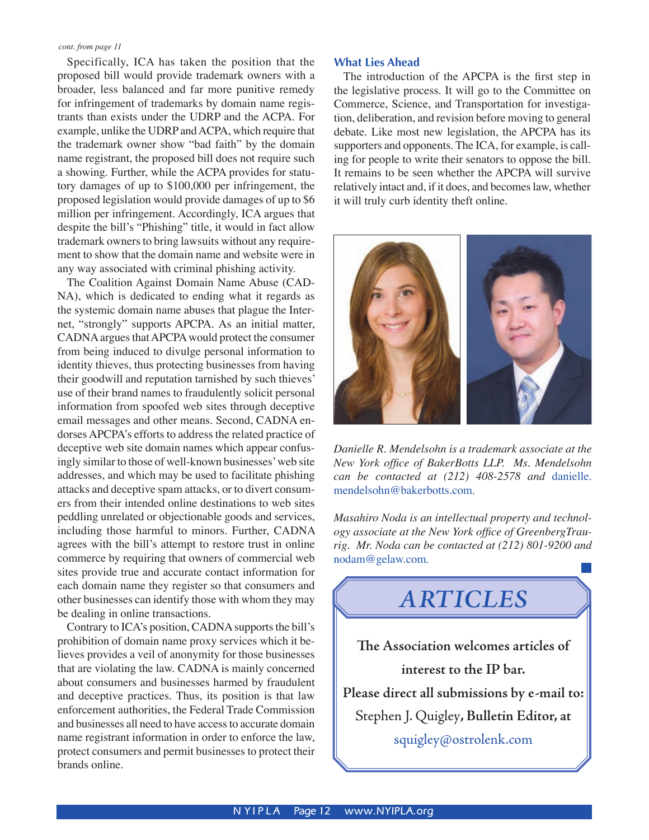Specifically, ICA has taken the position that the proposed bill would provide trademark owners with a broader, less balanced and far more punitive remedy for infringement of trademarks by domain name registrants than exists under the UDRP and the ACPA. For example, unlike the UDRP and ACPA, which require that the trademark owner show "bad faith" by the domain name registrant, the proposed bill does not require such a showing. Further, while the ACPA provides for statutory damages of up to \$100,000 per infringement, the proposed legislation would provide damages of up to \$6 million per infringement. Accordingly, ICA argues that despite the bill's "Phishing" title, it would in fact allow trademark owners to bring lawsuits without any requirement to show that the domain name and website were in any way associated with criminal phishing activity.

The Coalition Against Domain Name Abuse (CAD-NA), which is dedicated to ending what it regards as the systemic domain name abuses that plague the Internet, "strongly" supports APCPA. As an initial matter, CADNA argues that APCPA would protect the consumer from being induced to divulge personal information to identity thieves, thus protecting businesses from having their goodwill and reputation tarnished by such thieves' use of their brand names to fraudulently solicit personal information from spoofed web sites through deceptive email messages and other means. Second, CADNA endorses APCPA's efforts to address the related practice of deceptive web site domain names which appear confusingly similar to those of well-known businesses' web site addresses, and which may be used to facilitate phishing attacks and deceptive spam attacks, or to divert consumers from their intended online destinations to web sites peddling unrelated or objectionable goods and services, including those harmful to minors. Further, CADNA agrees with the bill's attempt to restore trust in online commerce by requiring that owners of commercial web sites provide true and accurate contact information for each domain name they register so that consumers and other businesses can identify those with whom they may be dealing in online transactions.

Contrary to ICA's position, CADNA supports the bill's prohibition of domain name proxy services which it believes provides a veil of anonymity for those businesses that are violating the law. CADNA is mainly concerned about consumers and businesses harmed by fraudulent and deceptive practices. Thus, its position is that law enforcement authorities, the Federal Trade Commission and businesses all need to have access to accurate domain name registrant information in order to enforce the law, protect consumers and permit businesses to protect their brands online.

#### **What Lies Ahead**

The introduction of the APCPA is the first step in the legislative process. It will go to the Committee on Commerce, Science, and Transportation for investigation, deliberation, and revision before moving to general debate. Like most new legislation, the APCPA has its supporters and opponents. The ICA, for example, is calling for people to write their senators to oppose the bill. It remains to be seen whether the APCPA will survive relatively intact and, if it does, and becomes law, whether it will truly curb identity theft online.



*Danielle R. Mendelsohn is a trademark associate at the New York office of BakerBotts LLP. Ms. Mendelsohn can be contacted at (212) 408-2578 and* danielle. mendelsohn@bakerbotts.com.

*Masahiro Noda is an intellectual property and technology associate at the New York office of GreenbergTraurig. Mr. Noda can be contacted at (212) 801-9200 and*  nodam@gelaw.com.

# *ARTICLES*

**The Association welcomes articles of interest to the IP bar.**

**Please direct all submissions by e-mail to:**  Stephen J. Quigley**, Bulletin Editor, at**  squigley@ostrolenk.com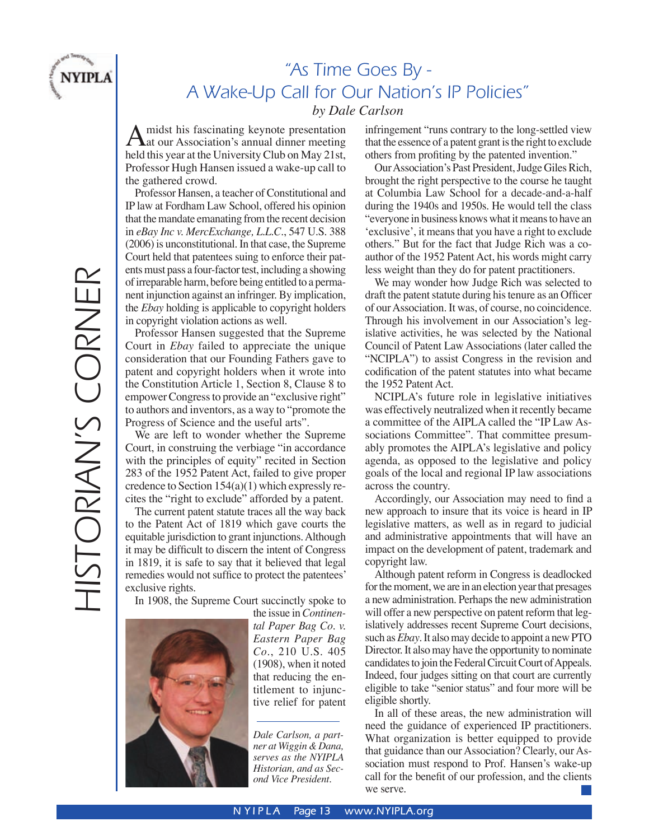

## "As Time Goes By - A Wake-Up Call for Our Nation's IP Policies" *by Dale Carlson*

 $\hat{A}$  midst his fascinating keynote presentation<br>hald this year at the University Club on May 21st held this year at the University Club on May 21st, Professor Hugh Hansen issued a wake-up call to the gathered crowd.

Professor Hansen, a teacher of Constitutional and IP law at Fordham Law School, offered his opinion that the mandate emanating from the recent decision in *eBay Inc v. MercExchange, L.L.C.*, 547 U.S. 388 (2006) is unconstitutional. In that case, the Supreme Court held that patentees suing to enforce their patents must pass a four-factor test, including a showing of irreparable harm, before being entitled to a permanent injunction against an infringer. By implication, the *Ebay* holding is applicable to copyright holders in copyright violation actions as well.

Professor Hansen suggested that the Supreme Court in *Ebay* failed to appreciate the unique consideration that our Founding Fathers gave to patent and copyright holders when it wrote into the Constitution Article 1, Section 8, Clause 8 to empower Congress to provide an "exclusive right" to authors and inventors, as a way to "promote the Progress of Science and the useful arts".

We are left to wonder whether the Supreme Court, in construing the verbiage "in accordance with the principles of equity" recited in Section 283 of the 1952 Patent Act, failed to give proper credence to Section 154(a)(1) which expressly recites the "right to exclude" afforded by a patent.

The current patent statute traces all the way back to the Patent Act of 1819 which gave courts the equitable jurisdiction to grant injunctions. Although it may be difficult to discern the intent of Congress in 1819, it is safe to say that it believed that legal remedies would not suffice to protect the patentees' exclusive rights.

In 1908, the Supreme Court succinctly spoke to



the issue in *Continental Paper Bag Co. v. Eastern Paper Bag Co.*, 210 U.S. 405 (1908), when it noted that reducing the entitlement to injunctive relief for patent

*Dale Carlson, a partner at Wiggin & Dana, serves as the NYIPLA Historian, and as Second Vice President.*

infringement "runs contrary to the long-settled view that the essence of a patent grant is the right to exclude others from profiting by the patented invention."

Our Association's Past President, Judge Giles Rich, brought the right perspective to the course he taught at Columbia Law School for a decade-and-a-half during the 1940s and 1950s. He would tell the class "everyone in business knows what it means to have an ʻexclusive', it means that you have a right to exclude others." But for the fact that Judge Rich was a coauthor of the 1952 Patent Act, his words might carry less weight than they do for patent practitioners.

We may wonder how Judge Rich was selected to draft the patent statute during his tenure as an Officer of our Association. It was, of course, no coincidence. Through his involvement in our Association's legislative activities, he was selected by the National Council of Patent Law Associations (later called the "NCIPLA") to assist Congress in the revision and codification of the patent statutes into what became the 1952 Patent Act.

NCIPLA's future role in legislative initiatives was effectively neutralized when it recently became a committee of the AIPLA called the "IP Law Associations Committee". That committee presumably promotes the AIPLA's legislative and policy agenda, as opposed to the legislative and policy goals of the local and regional IP law associations across the country.

Accordingly, our Association may need to find a new approach to insure that its voice is heard in IP legislative matters, as well as in regard to judicial and administrative appointments that will have an impact on the development of patent, trademark and copyright law.

Although patent reform in Congress is deadlocked for the moment, we are in an election year that presages a new administration. Perhaps the new administration will offer a new perspective on patent reform that legislatively addresses recent Supreme Court decisions, such as *Ebay*. It also may decide to appoint a new PTO Director. It also may have the opportunity to nominate candidates to join the Federal Circuit Court of Appeals. Indeed, four judges sitting on that court are currently eligible to take "senior status" and four more will be eligible shortly.

In all of these areas, the new administration will need the guidance of experienced IP practitioners. What organization is better equipped to provide that guidance than our Association? Clearly, our Association must respond to Prof. Hansen's wake-up call for the benefit of our profession, and the clients we serve.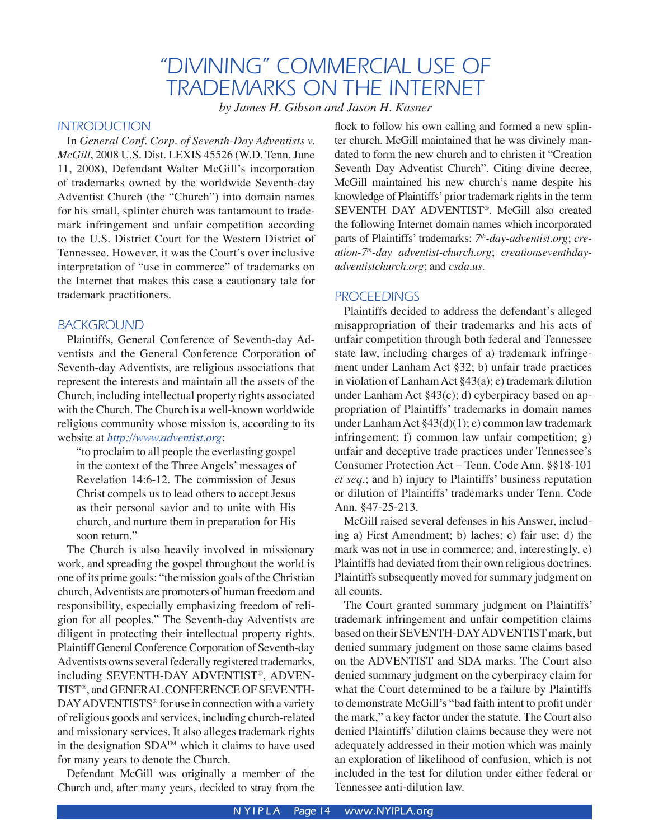## "DIVINING" COMMERCIAL USE OF TRADEMARKS ON THE INTERNET

*by James H. Gibson and Jason H. Kasner*

#### **INTRODUCTION**

 In *General Conf. Corp. of Seventh-Day Adventists v. McGill*, 2008 U.S. Dist. LEXIS 45526 (W.D. Tenn. June 11, 2008), Defendant Walter McGill's incorporation of trademarks owned by the worldwide Seventh-day Adventist Church (the "Church") into domain names for his small, splinter church was tantamount to trademark infringement and unfair competition according to the U.S. District Court for the Western District of Tennessee. However, it was the Court's over inclusive interpretation of "use in commerce" of trademarks on the Internet that makes this case a cautionary tale for trademark practitioners.

#### BACKGROUND

 Plaintiffs, General Conference of Seventh-day Adventists and the General Conference Corporation of Seventh-day Adventists, are religious associations that represent the interests and maintain all the assets of the Church, including intellectual property rights associated with the Church. The Church is a well-known worldwide religious community whose mission is, according to its website at *http://www.adventist.org*:

"to proclaim to all people the everlasting gospel in the context of the Three Angels' messages of Revelation 14:6-12. The commission of Jesus Christ compels us to lead others to accept Jesus as their personal savior and to unite with His church, and nurture them in preparation for His soon return."

The Church is also heavily involved in missionary work, and spreading the gospel throughout the world is one of its prime goals: "the mission goals of the Christian church, Adventists are promoters of human freedom and responsibility, especially emphasizing freedom of religion for all peoples." The Seventh-day Adventists are diligent in protecting their intellectual property rights. Plaintiff General Conference Corporation of Seventh-day Adventists owns several federally registered trademarks, including SEVENTH-DAY ADVENTIST®, ADVEN-TIST®, and GENERAL CONFERENCE OF SEVENTH-DAY ADVENTISTS<sup>®</sup> for use in connection with a variety of religious goods and services, including church-related and missionary services. It also alleges trademark rights in the designation SDATM which it claims to have used for many years to denote the Church.

Defendant McGill was originally a member of the Church and, after many years, decided to stray from the

flock to follow his own calling and formed a new splinter church. McGill maintained that he was divinely mandated to form the new church and to christen it "Creation Seventh Day Adventist Church". Citing divine decree, McGill maintained his new church's name despite his knowledge of Plaintiffs' prior trademark rights in the term SEVENTH DAY ADVENTIST®. McGill also created the following Internet domain names which incorporated parts of Plaintiffs' trademarks: *7th-day-adventist.org*; *creation-7th-day adventist-church.org*; *creationseventhdayadventistchurch.org*; and *csda.us*.

#### **PROCEEDINGS**

 Plaintiffs decided to address the defendant's alleged misappropriation of their trademarks and his acts of unfair competition through both federal and Tennessee state law, including charges of a) trademark infringement under Lanham Act §32; b) unfair trade practices in violation of Lanham Act §43(a); c) trademark dilution under Lanham Act §43(c); d) cyberpiracy based on appropriation of Plaintiffs' trademarks in domain names under Lanham Act §43(d)(1); e) common law trademark infringement; f) common law unfair competition; g) unfair and deceptive trade practices under Tennessee's Consumer Protection Act – Tenn. Code Ann. §§18-101 *et seq.*; and h) injury to Plaintiffs' business reputation or dilution of Plaintiffs' trademarks under Tenn. Code Ann. §47-25-213.

 McGill raised several defenses in his Answer, including a) First Amendment; b) laches; c) fair use; d) the mark was not in use in commerce; and, interestingly, e) Plaintiffs had deviated from their own religious doctrines. Plaintiffs subsequently moved for summary judgment on all counts.

The Court granted summary judgment on Plaintiffs' trademark infringement and unfair competition claims based on their SEVENTH-DAY ADVENTIST mark, but denied summary judgment on those same claims based on the ADVENTIST and SDA marks. The Court also denied summary judgment on the cyberpiracy claim for what the Court determined to be a failure by Plaintiffs to demonstrate McGill's "bad faith intent to profit under the mark," a key factor under the statute. The Court also denied Plaintiffs' dilution claims because they were not adequately addressed in their motion which was mainly an exploration of likelihood of confusion, which is not included in the test for dilution under either federal or Tennessee anti-dilution law.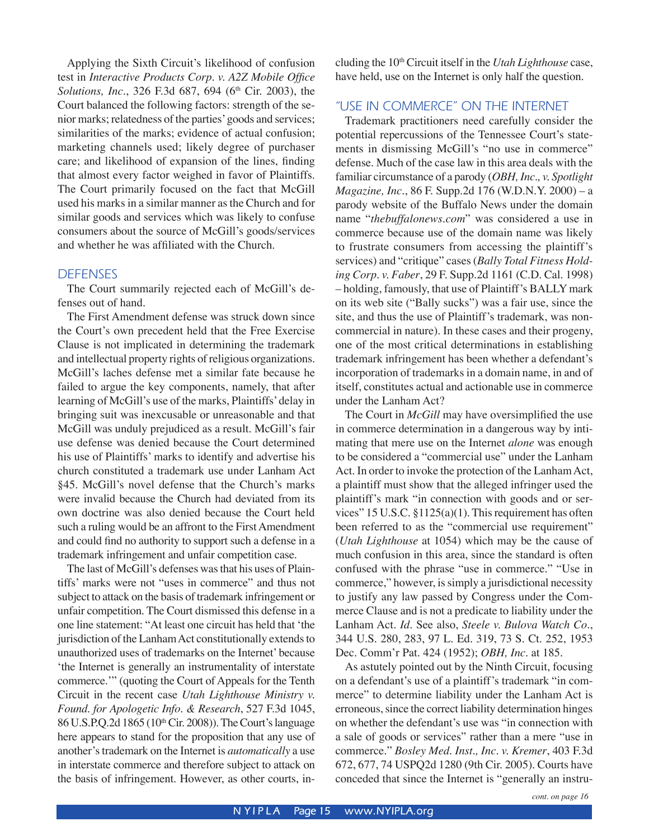Applying the Sixth Circuit's likelihood of confusion test in *Interactive Products Corp. v. A2Z Mobile Office Solutions, Inc.*, 326 F.3d 687, 694 (6<sup>th</sup> Cir. 2003), the Court balanced the following factors: strength of the senior marks; relatedness of the parties' goods and services; similarities of the marks; evidence of actual confusion; marketing channels used; likely degree of purchaser care; and likelihood of expansion of the lines, finding that almost every factor weighed in favor of Plaintiffs. The Court primarily focused on the fact that McGill used his marks in a similar manner as the Church and for similar goods and services which was likely to confuse consumers about the source of McGill's goods/services and whether he was affiliated with the Church.

#### **DEFENSES**

 The Court summarily rejected each of McGill's defenses out of hand.

The First Amendment defense was struck down since the Court's own precedent held that the Free Exercise Clause is not implicated in determining the trademark and intellectual property rights of religious organizations. McGill's laches defense met a similar fate because he failed to argue the key components, namely, that after learning of McGill's use of the marks, Plaintiffs' delay in bringing suit was inexcusable or unreasonable and that McGill was unduly prejudiced as a result. McGill's fair use defense was denied because the Court determined his use of Plaintiffs' marks to identify and advertise his church constituted a trademark use under Lanham Act §45. McGill's novel defense that the Church's marks were invalid because the Church had deviated from its own doctrine was also denied because the Court held such a ruling would be an affront to the First Amendment and could find no authority to support such a defense in a trademark infringement and unfair competition case.

 The last of McGill's defenses was that his uses of Plaintiffs' marks were not "uses in commerce" and thus not subject to attack on the basis of trademark infringement or unfair competition. The Court dismissed this defense in a one line statement: "At least one circuit has held that ʻthe jurisdiction of the Lanham Act constitutionally extends to unauthorized uses of trademarks on the Internet' because ʻthe Internet is generally an instrumentality of interstate commerce.'" (quoting the Court of Appeals for the Tenth Circuit in the recent case *Utah Lighthouse Ministry v. Found. for Apologetic Info. & Research*, 527 F.3d 1045, 86 U.S.P.Q.2d 1865 (10<sup>th</sup> Cir. 2008)). The Court's language here appears to stand for the proposition that any use of another's trademark on the Internet is *automatically* a use in interstate commerce and therefore subject to attack on the basis of infringement. However, as other courts, including the 10th Circuit itself in the *Utah Lighthouse* case, have held, use on the Internet is only half the question.

#### "USE IN COMMERCE" ON THE INTERNET

 Trademark practitioners need carefully consider the potential repercussions of the Tennessee Court's statements in dismissing McGill's "no use in commerce" defense. Much of the case law in this area deals with the familiar circumstance of a parody (*OBH, Inc., v. Spotlight Magazine, Inc.*, 86 F. Supp.2d 176 (W.D.N.Y. 2000) – a parody website of the Buffalo News under the domain name "*thebuffalonews.com*" was considered a use in commerce because use of the domain name was likely to frustrate consumers from accessing the plaintiff's services) and "critique" cases (*Bally Total Fitness Holding Corp. v. Faber*, 29 F. Supp.2d 1161 (C.D. Cal. 1998) – holding, famously, that use of Plaintiff's BALLY mark on its web site ("Bally sucks") was a fair use, since the site, and thus the use of Plaintiff's trademark, was noncommercial in nature). In these cases and their progeny, one of the most critical determinations in establishing trademark infringement has been whether a defendant's incorporation of trademarks in a domain name, in and of itself, constitutes actual and actionable use in commerce under the Lanham Act?

 The Court in *McGill* may have oversimplified the use in commerce determination in a dangerous way by intimating that mere use on the Internet *alone* was enough to be considered a "commercial use" under the Lanham Act. In order to invoke the protection of the Lanham Act, a plaintiff must show that the alleged infringer used the plaintiff's mark "in connection with goods and or services" 15 U.S.C. §1125(a)(1). This requirement has often been referred to as the "commercial use requirement" (*Utah Lighthouse* at 1054) which may be the cause of much confusion in this area, since the standard is often confused with the phrase "use in commerce." "Use in commerce," however, is simply a jurisdictional necessity to justify any law passed by Congress under the Commerce Clause and is not a predicate to liability under the Lanham Act. *Id.* See also, *Steele v. Bulova Watch Co.*, 344 U.S. 280, 283, 97 L. Ed. 319, 73 S. Ct. 252, 1953 Dec. Comm'r Pat. 424 (1952); *OBH, Inc.* at 185.

As astutely pointed out by the Ninth Circuit, focusing on a defendant's use of a plaintiff's trademark "in commerce" to determine liability under the Lanham Act is erroneous, since the correct liability determination hinges on whether the defendant's use was "in connection with a sale of goods or services" rather than a mere "use in commerce." *Bosley Med. Inst., Inc. v. Kremer*, 403 F.3d 672, 677, 74 USPQ2d 1280 (9th Cir. 2005). Courts have conceded that since the Internet is "generally an instru-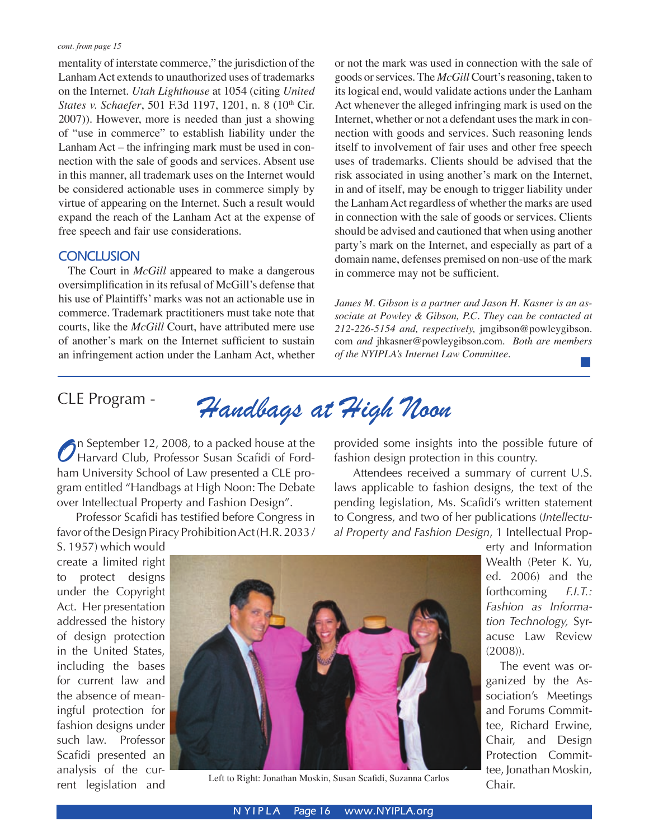mentality of interstate commerce," the jurisdiction of the Lanham Act extends to unauthorized uses of trademarks on the Internet. *Utah Lighthouse* at 1054 (citing *United States v. Schaefer*, 501 F.3d 1197, 1201, n. 8 (10<sup>th</sup> Cir. 2007)). However, more is needed than just a showing of "use in commerce" to establish liability under the Lanham Act – the infringing mark must be used in connection with the sale of goods and services. Absent use in this manner, all trademark uses on the Internet would be considered actionable uses in commerce simply by virtue of appearing on the Internet. Such a result would expand the reach of the Lanham Act at the expense of free speech and fair use considerations.

#### **CONCLUSION**

 The Court in *McGill* appeared to make a dangerous oversimplification in its refusal of McGill's defense that his use of Plaintiffs' marks was not an actionable use in commerce. Trademark practitioners must take note that courts, like the *McGill* Court, have attributed mere use of another's mark on the Internet sufficient to sustain an infringement action under the Lanham Act, whether

or not the mark was used in connection with the sale of goods or services. The *McGill* Court's reasoning, taken to its logical end, would validate actions under the Lanham Act whenever the alleged infringing mark is used on the Internet, whether or not a defendant uses the mark in connection with goods and services. Such reasoning lends itself to involvement of fair uses and other free speech uses of trademarks. Clients should be advised that the risk associated in using another's mark on the Internet, in and of itself, may be enough to trigger liability under the Lanham Act regardless of whether the marks are used in connection with the sale of goods or services. Clients should be advised and cautioned that when using another party's mark on the Internet, and especially as part of a domain name, defenses premised on non-use of the mark in commerce may not be sufficient.

*James M. Gibson is a partner and Jason H. Kasner is an associate at Powley & Gibson, P.C. They can be contacted at 212-226-5154 and, respectively,* jmgibson@powleygibson. com *and* jhkasner@powleygibson.com. *Both are members of the NYIPLA's Internet Law Committee.* a sa

CLE Program - *Handbags at High Noon*

**o**n September 12, 2008, to a packed house at the Harvard Club, Professor Susan Scafidi of Fordham University School of Law presented a CLE program entitled "Handbags at High Noon: The Debate over Intellectual Property and Fashion Design".

 Professor Scafidi has testified before Congress in favor of the Design Piracy Prohibition Act (H.R. 2033 /

provided some insights into the possible future of fashion design protection in this country.

 Attendees received a summary of current U.S. laws applicable to fashion designs, the text of the pending legislation, Ms. Scafidi's written statement to Congress, and two of her publications (*Intellectual Property and Fashion Design*, 1 Intellectual Prop-

S. 1957) which would create a limited right to protect designs under the Copyright Act. Her presentation addressed the history of design protection in the United States, including the bases for current law and the absence of meaningful protection for fashion designs under such law. Professor Scafidi presented an analysis of the current legislation and



Left to Right: Jonathan Moskin, Susan Scafidi, Suzanna Carlos

erty and Information Wealth (Peter K. Yu, ed. 2006) and the forthcoming *F.I.T.: Fashion as Information Technology,* Syracuse Law Review (2008)).

 The event was organized by the Association's Meetings and Forums Committee, Richard Erwine, Chair, and Design Protection Committee, Jonathan Moskin, Chair.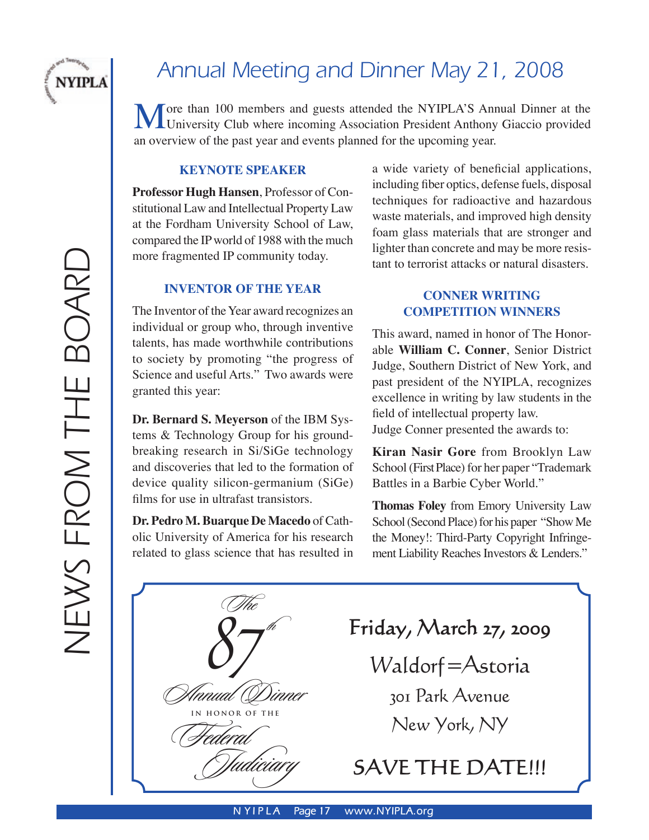

# Annual Meeting and Dinner May 21, 2008

More than 100 members and guests attended the NYIPLA'S Annual Dinner at the University Club where incoming Association President Anthony Giaccio provided an eventual of the next vear and events aloned for the unequality ve an overview of the past year and events planned for the upcoming year.

#### **KEYNOTE SPEAKER**

**Professor Hugh Hansen**, Professor of Constitutional Law and Intellectual Property Law at the Fordham University School of Law, compared the IP world of 1988 with the much more fragmented IP community today.

#### **INVENTOR OF THE YEAR**

The Inventor of the Year award recognizes an individual or group who, through inventive talents, has made worthwhile contributions to society by promoting "the progress of Science and useful Arts." Two awards were granted this year:

**Dr. Bernard S. Meyerson** of the IBM Systems & Technology Group for his groundbreaking research in Si/SiGe technology and discoveries that led to the formation of device quality silicon-germanium (SiGe) films for use in ultrafast transistors.

**Dr. Pedro M. Buarque De Macedo** of Catholic University of America for his research related to glass science that has resulted in a wide variety of beneficial applications, including fiber optics, defense fuels, disposal techniques for radioactive and hazardous waste materials, and improved high density foam glass materials that are stronger and lighter than concrete and may be more resistant to terrorist attacks or natural disasters.

#### **CONNER WRITING COMPETITION WINNERS**

This award, named in honor of The Honorable **William C. Conner**, Senior District Judge, Southern District of New York, and past president of the NYIPLA, recognizes excellence in writing by law students in the field of intellectual property law. Judge Conner presented the awards to:

**Kiran Nasir Gore** from Brooklyn Law School (First Place) for her paper "Trademark Battles in a Barbie Cyber World."

**Thomas Foley** from Emory University Law School (Second Place) for his paper "Show Me the Money!: Third-Party Copyright Infringement Liability Reaches Investors & Lenders."

 $\mathcal{S}$ ] �� The Alaaal Diaael (Federal ��������� **ONOR OF THE Friday, March 27, 2009** Waldorf=Astoria 301 Park Avenue New York, NY **SAVE THE DATE!!!**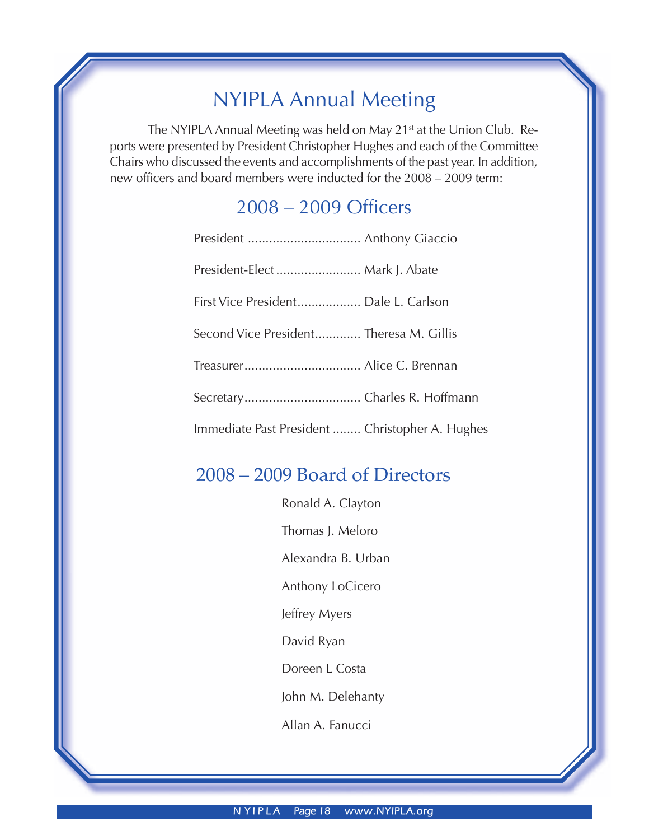## NYIPLA Annual Meeting

The NYIPLA Annual Meeting was held on May 21<sup>st</sup> at the Union Club. Reports were presented by President Christopher Hughes and each of the Committee Chairs who discussed the events and accomplishments of the past year. In addition, new officers and board members were inducted for the 2008 – 2009 term:

## 2008 – 2009 Officers

| President-Elect  Mark J. Abate                  |  |
|-------------------------------------------------|--|
| First Vice President Dale L. Carlson            |  |
| Second Vice President Theresa M. Gillis         |  |
|                                                 |  |
|                                                 |  |
| Immediate Past President  Christopher A. Hughes |  |

## 2008 – 2009 Board of Directors

Ronald A. Clayton Thomas J. Meloro Alexandra B. Urban Anthony LoCicero Jeffrey Myers David Ryan Doreen L Costa John M. Delehanty Allan A. Fanucci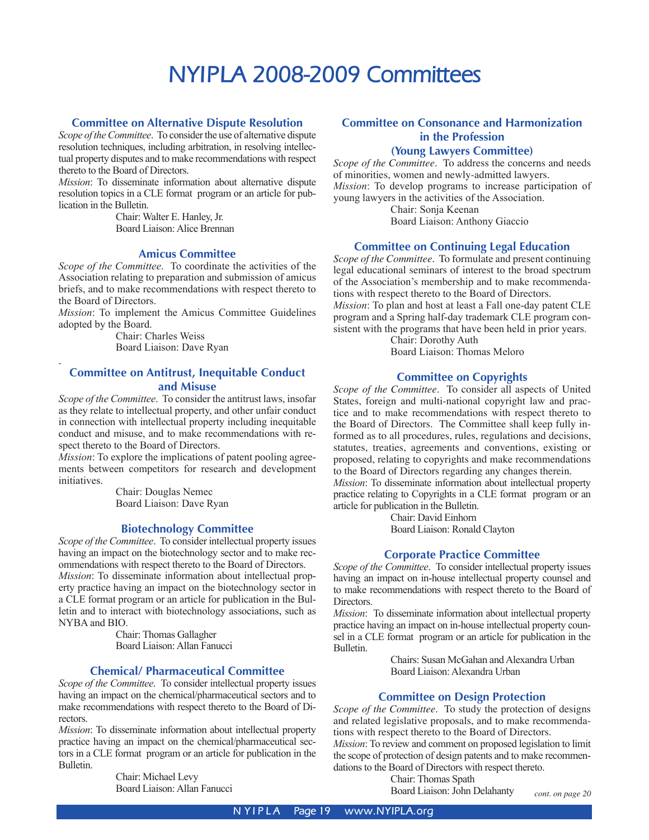# **NYIPLA 2008-2009 Committees**

#### **Committee on Alternative Dispute Resolution**

*Scope of the Committee*. To consider the use of alternative dispute resolution techniques, including arbitration, in resolving intellectual property disputes and to make recommendations with respect thereto to the Board of Directors.

*Mission*: To disseminate information about alternative dispute resolution topics in a CLE format program or an article for publication in the Bulletin.

> Chair: Walter E. Hanley, Jr. Board Liaison: Alice Brennan

#### **Amicus Committee**

*Scope of the Committee*. To coordinate the activities of the Association relating to preparation and submission of amicus briefs, and to make recommendations with respect thereto to the Board of Directors.

*Mission*: To implement the Amicus Committee Guidelines adopted by the Board.

> Chair: Charles Weiss Board Liaison: Dave Ryan

#### **Committee on Antitrust, Inequitable Conduct and Misuse**

*Scope of the Committee*. To consider the antitrust laws, insofar as they relate to intellectual property, and other unfair conduct in connection with intellectual property including inequitable conduct and misuse, and to make recommendations with respect thereto to the Board of Directors.

*Mission*: To explore the implications of patent pooling agreements between competitors for research and development initiatives.

> Chair: Douglas Nemec Board Liaison: Dave Ryan

#### **Biotechnology Committee**

*Scope of the Committee*. To consider intellectual property issues having an impact on the biotechnology sector and to make recommendations with respect thereto to the Board of Directors. *Mission*: To disseminate information about intellectual property practice having an impact on the biotechnology sector in a CLE format program or an article for publication in the Bulletin and to interact with biotechnology associations, such as NYBA and BIO.

> Chair: Thomas Gallagher Board Liaison: Allan Fanucci

#### **Chemical/ Pharmaceutical Committee**

*Scope of the Committee*. To consider intellectual property issues having an impact on the chemical/pharmaceutical sectors and to make recommendations with respect thereto to the Board of Directors.

*Mission*: To disseminate information about intellectual property practice having an impact on the chemical/pharmaceutical sectors in a CLE format program or an article for publication in the Bulletin.

> Chair: Michael Levy Board Liaison: Allan Fanucci

### **Committee on Consonance and Harmonization in the Profession**

#### **(Young Lawyers Committee)**

*Scope of the Committee*. To address the concerns and needs of minorities, women and newly-admitted lawyers. *Mission*: To develop programs to increase participation of young lawyers in the activities of the Association.

> Chair: Sonja Keenan Board Liaison: Anthony Giaccio

#### **Committee on Continuing Legal Education**

*Scope of the Committee*. To formulate and present continuing legal educational seminars of interest to the broad spectrum of the Association's membership and to make recommendations with respect thereto to the Board of Directors. *Mission*: To plan and host at least a Fall one-day patent CLE

program and a Spring half-day trademark CLE program consistent with the programs that have been held in prior years.

Chair: Dorothy Auth Board Liaison: Thomas Meloro

#### **Committee on Copyrights**

*Scope of the Committee*. To consider all aspects of United States, foreign and multi-national copyright law and practice and to make recommendations with respect thereto to the Board of Directors. The Committee shall keep fully informed as to all procedures, rules, regulations and decisions, statutes, treaties, agreements and conventions, existing or proposed, relating to copyrights and make recommendations to the Board of Directors regarding any changes therein.

*Mission*: To disseminate information about intellectual property practice relating to Copyrights in a CLE format program or an article for publication in the Bulletin.

Chair: David Einhorn

Board Liaison: Ronald Clayton

#### **Corporate Practice Committee**

*Scope of the Committee*. To consider intellectual property issues having an impact on in-house intellectual property counsel and to make recommendations with respect thereto to the Board of Directors.

*Mission*: To disseminate information about intellectual property practice having an impact on in-house intellectual property counsel in a CLE format program or an article for publication in the Bulletin.

> Chairs: Susan McGahan and Alexandra Urban Board Liaison: Alexandra Urban

#### **Committee on Design Protection**

*Scope of the Committee*. To study the protection of designs and related legislative proposals, and to make recommendations with respect thereto to the Board of Directors. *Mission*: To review and comment on proposed legislation to limit the scope of protection of design patents and to make recommendations to the Board of Directors with respect thereto.

Chair: Thomas Spath Board Liaison: John Delahanty

*cont. on page 20*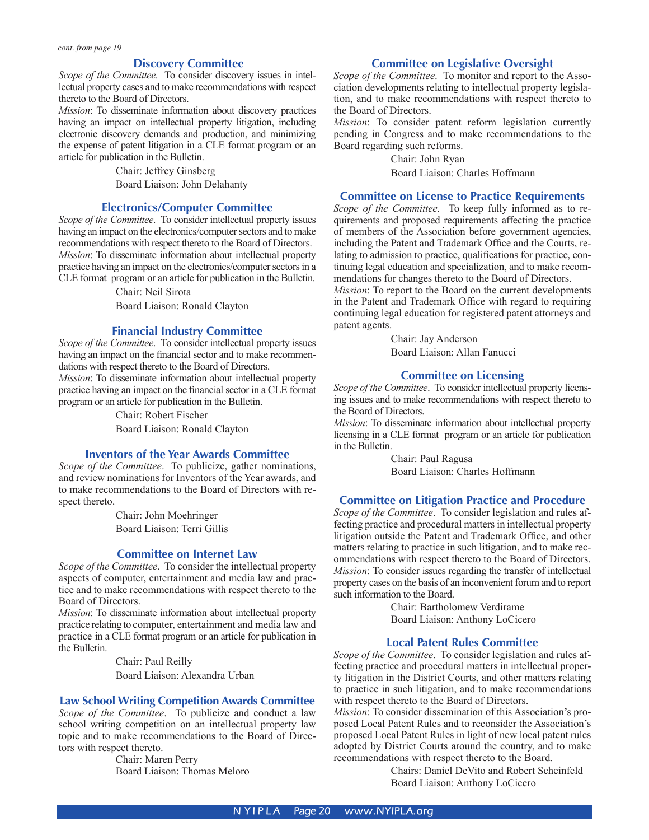#### **Discovery Committee**

*Scope of the Committee*. To consider discovery issues in intellectual property cases and to make recommendations with respect thereto to the Board of Directors.

*Mission*: To disseminate information about discovery practices having an impact on intellectual property litigation, including electronic discovery demands and production, and minimizing the expense of patent litigation in a CLE format program or an article for publication in the Bulletin.

> Chair: Jeffrey Ginsberg Board Liaison: John Delahanty

#### **Electronics/Computer Committee**

*Scope of the Committee*. To consider intellectual property issues having an impact on the electronics/computer sectors and to make recommendations with respect thereto to the Board of Directors. *Mission*: To disseminate information about intellectual property practice having an impact on the electronics/computer sectors in a CLE format program or an article for publication in the Bulletin.

Chair: Neil Sirota

Board Liaison: Ronald Clayton

#### **Financial Industry Committee**

*Scope of the Committee*. To consider intellectual property issues having an impact on the financial sector and to make recommendations with respect thereto to the Board of Directors. *Mission*: To disseminate information about intellectual property practice having an impact on the financial sector in a CLE format program or an article for publication in the Bulletin.

Chair: Robert Fischer

Board Liaison: Ronald Clayton

#### **Inventors of the Year Awards Committee**

*Scope of the Committee*. To publicize, gather nominations, and review nominations for Inventors of the Year awards, and to make recommendations to the Board of Directors with respect thereto.

> Chair: John Moehringer Board Liaison: Terri Gillis

#### **Committee on Internet Law**

*Scope of the Committee*. To consider the intellectual property aspects of computer, entertainment and media law and practice and to make recommendations with respect thereto to the Board of Directors.

*Mission*: To disseminate information about intellectual property practice relating to computer, entertainment and media law and practice in a CLE format program or an article for publication in the Bulletin.

> Chair: Paul Reilly Board Liaison: Alexandra Urban

#### **Law School Writing Competition Awards Committee**

*Scope of the Committee*. To publicize and conduct a law school writing competition on an intellectual property law topic and to make recommendations to the Board of Directors with respect thereto.

> Chair: Maren Perry Board Liaison: Thomas Meloro

#### **Committee on Legislative Oversight**

*Scope of the Committee*. To monitor and report to the Association developments relating to intellectual property legislation, and to make recommendations with respect thereto to the Board of Directors.

*Mission*: To consider patent reform legislation currently pending in Congress and to make recommendations to the Board regarding such reforms.

> Chair: John Ryan Board Liaison: Charles Hoffmann

#### **Committee on License to Practice Requirements**

*Scope of the Committee*. To keep fully informed as to requirements and proposed requirements affecting the practice of members of the Association before government agencies, including the Patent and Trademark Office and the Courts, relating to admission to practice, qualifications for practice, continuing legal education and specialization, and to make recommendations for changes thereto to the Board of Directors.

*Mission*: To report to the Board on the current developments in the Patent and Trademark Office with regard to requiring continuing legal education for registered patent attorneys and patent agents.

> Chair: Jay Anderson Board Liaison: Allan Fanucci

#### **Committee on Licensing**

*Scope of the Committee*. To consider intellectual property licensing issues and to make recommendations with respect thereto to the Board of Directors.

*Mission*: To disseminate information about intellectual property licensing in a CLE format program or an article for publication in the Bulletin.

> Chair: Paul Ragusa Board Liaison: Charles Hoffmann

#### **Committee on Litigation Practice and Procedure**

*Scope of the Committee*. To consider legislation and rules affecting practice and procedural matters in intellectual property litigation outside the Patent and Trademark Office, and other matters relating to practice in such litigation, and to make recommendations with respect thereto to the Board of Directors. *Mission*: To consider issues regarding the transfer of intellectual property cases on the basis of an inconvenient forum and to report such information to the Board.

> Chair: Bartholomew Verdirame Board Liaison: Anthony LoCicero

#### **Local Patent Rules Committee**

*Scope of the Committee*. To consider legislation and rules affecting practice and procedural matters in intellectual property litigation in the District Courts, and other matters relating to practice in such litigation, and to make recommendations with respect thereto to the Board of Directors.

*Mission*: To consider dissemination of this Association's proposed Local Patent Rules and to reconsider the Association's proposed Local Patent Rules in light of new local patent rules adopted by District Courts around the country, and to make recommendations with respect thereto to the Board.

> Chairs: Daniel DeVito and Robert Scheinfeld Board Liaison: Anthony LoCicero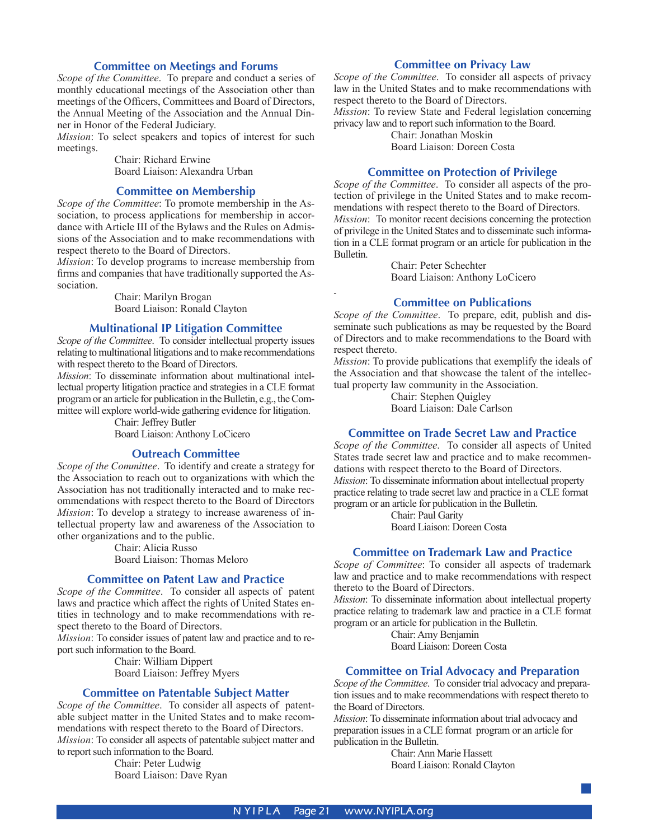#### **Committee on Meetings and Forums**

*Scope of the Committee*. To prepare and conduct a series of monthly educational meetings of the Association other than meetings of the Officers, Committees and Board of Directors, the Annual Meeting of the Association and the Annual Dinner in Honor of the Federal Judiciary.

*Mission*: To select speakers and topics of interest for such meetings.

Chair: Richard Erwine Board Liaison: Alexandra Urban

#### **Committee on Membership**

*Scope of the Committee*: To promote membership in the Association, to process applications for membership in accordance with Article III of the Bylaws and the Rules on Admissions of the Association and to make recommendations with respect thereto to the Board of Directors.

*Mission*: To develop programs to increase membership from firms and companies that have traditionally supported the Association.

> Chair: Marilyn Brogan Board Liaison: Ronald Clayton

#### **Multinational IP Litigation Committee**

*Scope of the Committee*. To consider intellectual property issues relating to multinational litigations and to make recommendations with respect thereto to the Board of Directors.

*Mission*: To disseminate information about multinational intellectual property litigation practice and strategies in a CLE format program or an article for publication in the Bulletin, e.g., the Committee will explore world-wide gathering evidence for litigation.

> Chair: Jeffrey Butler Board Liaison: Anthony LoCicero

#### **Outreach Committee**

*Scope of the Committee*. To identify and create a strategy for the Association to reach out to organizations with which the Association has not traditionally interacted and to make recommendations with respect thereto to the Board of Directors *Mission*: To develop a strategy to increase awareness of intellectual property law and awareness of the Association to other organizations and to the public.

> Chair: Alicia Russo Board Liaison: Thomas Meloro

#### **Committee on Patent Law and Practice**

*Scope of the Committee*. To consider all aspects of patent laws and practice which affect the rights of United States entities in technology and to make recommendations with respect thereto to the Board of Directors.

*Mission*: To consider issues of patent law and practice and to report such information to the Board.

> Chair: William Dippert Board Liaison: Jeffrey Myers

#### **Committee on Patentable Subject Matter**

*Scope of the Committee*. To consider all aspects of patentable subject matter in the United States and to make recommendations with respect thereto to the Board of Directors. *Mission*: To consider all aspects of patentable subject matter and to report such information to the Board.

> Chair: Peter Ludwig Board Liaison: Dave Ryan

#### **Committee on Privacy Law**

*Scope of the Committee*. To consider all aspects of privacy law in the United States and to make recommendations with respect thereto to the Board of Directors.

*Mission*: To review State and Federal legislation concerning privacy law and to report such information to the Board.

Chair: Jonathan Moskin Board Liaison: Doreen Costa

**Committee on Protection of Privilege**

*Scope of the Committee*. To consider all aspects of the protection of privilege in the United States and to make recommendations with respect thereto to the Board of Directors. *Mission*: To monitor recent decisions concerning the protection of privilege in the United States and to disseminate such information in a CLE format program or an article for publication in the Bulletin.

> Chair: Peter Schechter Board Liaison: Anthony LoCicero

#### **Committee on Publications**

*Scope of the Committee*. To prepare, edit, publish and disseminate such publications as may be requested by the Board of Directors and to make recommendations to the Board with respect thereto.

*Mission*: To provide publications that exemplify the ideals of the Association and that showcase the talent of the intellectual property law community in the Association.

> Chair: Stephen Quigley Board Liaison: Dale Carlson

#### **Committee on Trade Secret Law and Practice**

*Scope of the Committee*. To consider all aspects of United States trade secret law and practice and to make recommendations with respect thereto to the Board of Directors. *Mission*: To disseminate information about intellectual property practice relating to trade secret law and practice in a CLE format program or an article for publication in the Bulletin.

> Chair: Paul Garity Board Liaison: Doreen Costa

#### **Committee on Trademark Law and Practice**

*Scope of Committee*: To consider all aspects of trademark law and practice and to make recommendations with respect thereto to the Board of Directors.

*Mission*: To disseminate information about intellectual property practice relating to trademark law and practice in a CLE format program or an article for publication in the Bulletin.

> Chair: Amy Benjamin Board Liaison: Doreen Costa

#### **Committee on Trial Advocacy and Preparation**

*Scope of the Committee*. To consider trial advocacy and preparation issues and to make recommendations with respect thereto to the Board of Directors.

*Mission*: To disseminate information about trial advocacy and preparation issues in a CLE format program or an article for publication in the Bulletin.

Chair: Ann Marie Hassett Board Liaison: Ronald Clayton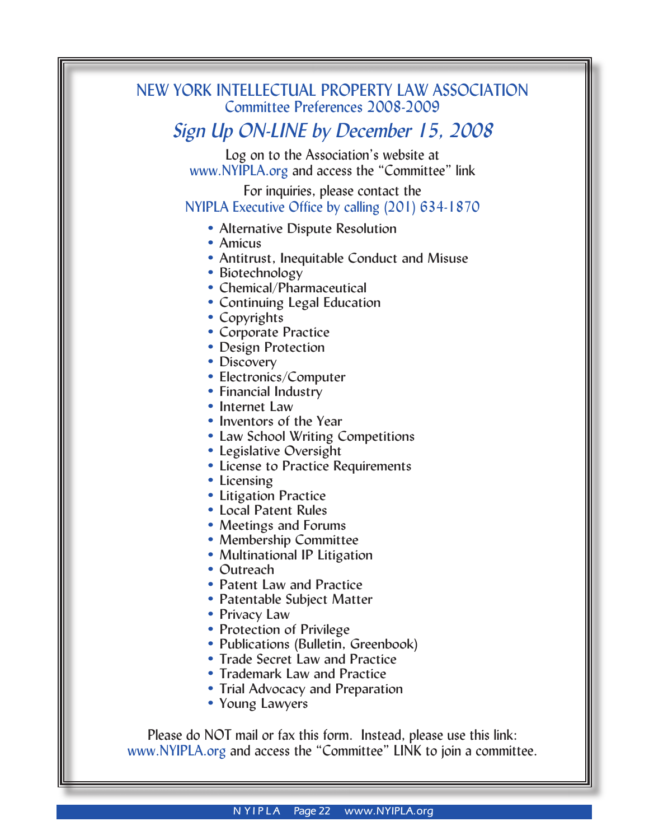## NEW YORK INTELLECTUAL PROPERTY LAW ASSOCIATION Committee Preferences 2008-2009

## *Sign Up ON-LINE by December 15, 2008*

Log on to the Association's website at www.NYIPLA.org and access the "Committee" link

For inquiries, please contact the NYIPLA Executive Office by calling (201) 634-1870

- Alternative Dispute Resolution
- Amicus
- Antitrust, Inequitable Conduct and Misuse
- Biotechnology
- Chemical/Pharmaceutical
- Continuing Legal Education
- Copyrights
- Corporate Practice
- Design Protection
- Discovery
- Electronics/Computer
- Financial Industry
- Internet Law
- Inventors of the Year
- Law School Writing Competitions
- Legislative Oversight
- License to Practice Requirements
- Licensing
- Litigation Practice
- Local Patent Rules
- Meetings and Forums
- Membership Committee
- Multinational IP Litigation
- Outreach
- Patent Law and Practice
- Patentable Subject Matter
- Privacy Law
- Protection of Privilege
- Publications (Bulletin, Greenbook)
- Trade Secret Law and Practice
- Trademark Law and Practice
- Trial Advocacy and Preparation
- Young Lawyers

Please do NOT mail or fax this form. Instead, please use this link: www.NYIPLA.org and access the "Committee" LINK to join a committee.

**N YIPLA** Page 22 www.NYIPLA.org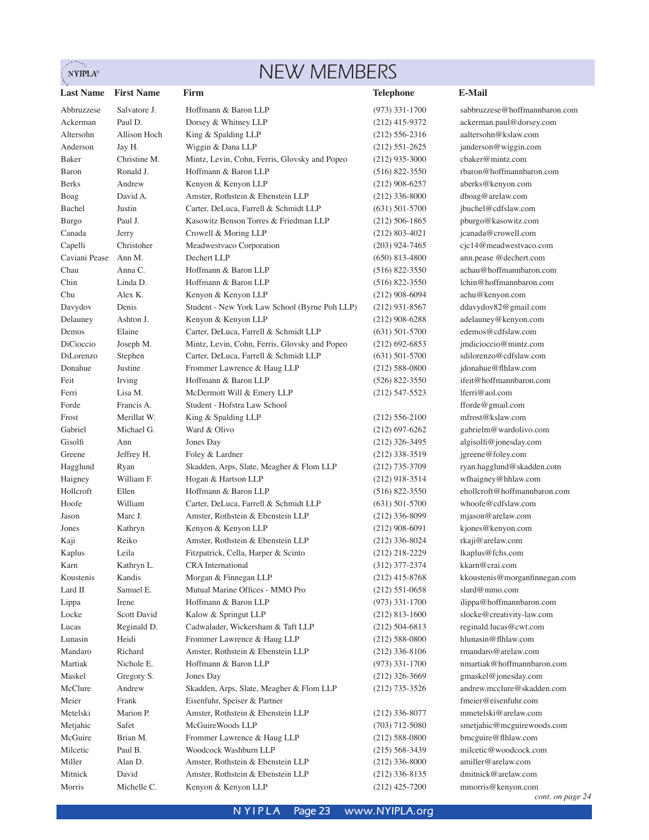#### **NYIPLA®**

## NEW MEMBERS

**Last Name First Name Firm Telephone E-Mail** Advance Salone (Infinite Salone Life (1913) (1913) (1913) (1923) (1923) (1923) (1923) (1923) (1923) (1923) (1923) (1923) (1923) (1923) (1923) (1923) (1923) (1923) (1923) (1923) (1923) (1923) (1923) (1923) (1923) (1923) (1